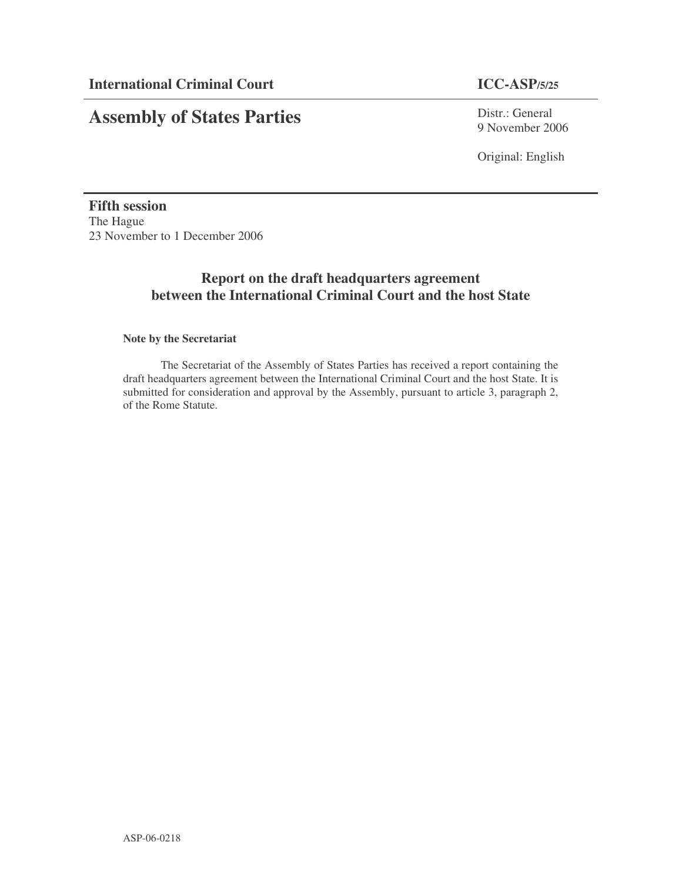# **Assembly of States Parties**

Distr.: General 9 November 2006

Original: English

**Fifth session** The Hague 23 November to 1 December 2006

# **Report on the draft headquarters agreement between the International Criminal Court and the host State**

# **Note by the Secretariat**

The Secretariat of the Assembly of States Parties has received a report containing the draft headquarters agreement between the International Criminal Court and the host State. It is submitted for consideration and approval by the Assembly, pursuant to article 3, paragraph 2, of the Rome Statute.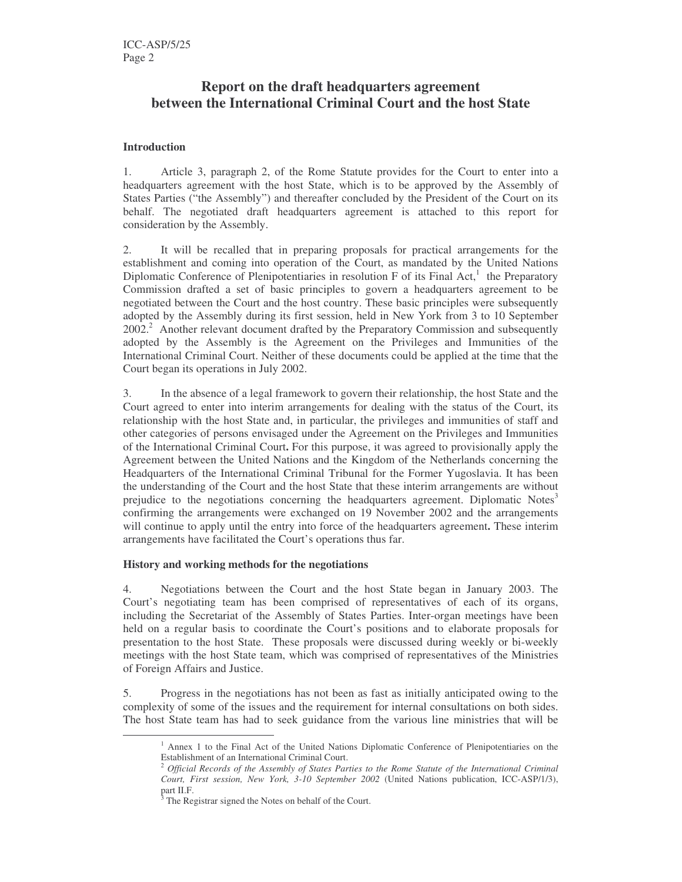# **Report on the draft headquarters agreement between the International Criminal Court and the host State**

# **Introduction**

1. Article 3, paragraph 2, of the Rome Statute provides for the Court to enter into a headquarters agreement with the host State, which is to be approved by the Assembly of States Parties ("the Assembly") and thereafter concluded by the President of the Court on its behalf. The negotiated draft headquarters agreement is attached to this report for consideration by the Assembly.

2. It will be recalled that in preparing proposals for practical arrangements for the establishment and coming into operation of the Court, as mandated by the United Nations Diplomatic Conference of Plenipotentiaries in resolution F of its Final Act,<sup>1</sup> the Preparatory Commission drafted a set of basic principles to govern a headquarters agreement to be negotiated between the Court and the host country. These basic principles were subsequently adopted by the Assembly during its first session, held in New York from 3 to 10 September 2002.<sup>2</sup> Another relevant document drafted by the Preparatory Commission and subsequently adopted by the Assembly is the Agreement on the Privileges and Immunities of the International Criminal Court. Neither of these documents could be applied at the time that the Court began its operations in July 2002.

3. In the absence of a legal framework to govern their relationship, the host State and the Court agreed to enter into interim arrangements for dealing with the status of the Court, its relationship with the host State and, in particular, the privileges and immunities of staff and other categories of persons envisaged under the Agreement on the Privileges and Immunities of the International Criminal Court**.** For this purpose, it was agreed to provisionally apply the Agreement between the United Nations and the Kingdom of the Netherlands concerning the Headquarters of the International Criminal Tribunal for the Former Yugoslavia. It has been the understanding of the Court and the host State that these interim arrangements are without prejudice to the negotiations concerning the headquarters agreement. Diplomatic Notes<sup>3</sup> confirming the arrangements were exchanged on 19 November 2002 and the arrangements will continue to apply until the entry into force of the headquarters agreement**.** These interim arrangements have facilitated the Court's operations thus far.

## **History and working methods for the negotiations**

4. Negotiations between the Court and the host State began in January 2003. The Court's negotiating team has been comprised of representatives of each of its organs, including the Secretariat of the Assembly of States Parties. Inter-organ meetings have been held on a regular basis to coordinate the Court's positions and to elaborate proposals for presentation to the host State. These proposals were discussed during weekly or bi-weekly meetings with the host State team, which was comprised of representatives of the Ministries of Foreign Affairs and Justice.

5. Progress in the negotiations has not been as fast as initially anticipated owing to the complexity of some of the issues and the requirement for internal consultations on both sides. The host State team has had to seek guidance from the various line ministries that will be

 $<sup>1</sup>$  Annex 1 to the Final Act of the United Nations Diplomatic Conference of Plenipotentiaries on the</sup> Establishment of an International Criminal Court.

<sup>2</sup> *Official Records of the Assembly of States Parties to the Rome Statute of the International Criminal Court, First session, New York, 3-10 September 2002* (United Nations publication, ICC-ASP/1/3), part II.F.

The Registrar signed the Notes on behalf of the Court.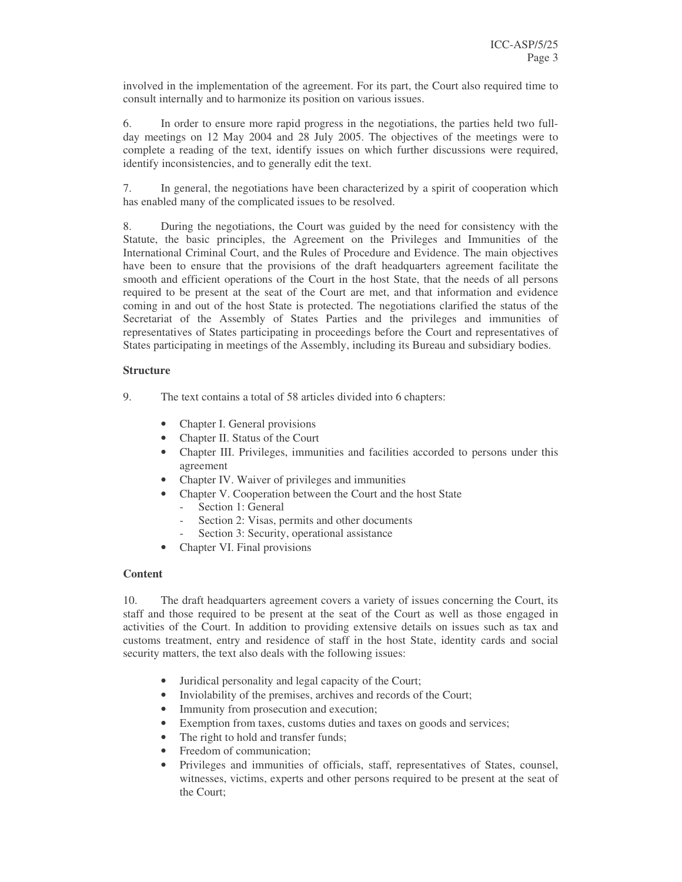involved in the implementation of the agreement. For its part, the Court also required time to consult internally and to harmonize its position on various issues.

6. In order to ensure more rapid progress in the negotiations, the parties held two fullday meetings on 12 May 2004 and 28 July 2005. The objectives of the meetings were to complete a reading of the text, identify issues on which further discussions were required, identify inconsistencies, and to generally edit the text.

7. In general, the negotiations have been characterized by a spirit of cooperation which has enabled many of the complicated issues to be resolved.

8. During the negotiations, the Court was guided by the need for consistency with the Statute, the basic principles, the Agreement on the Privileges and Immunities of the International Criminal Court, and the Rules of Procedure and Evidence. The main objectives have been to ensure that the provisions of the draft headquarters agreement facilitate the smooth and efficient operations of the Court in the host State, that the needs of all persons required to be present at the seat of the Court are met, and that information and evidence coming in and out of the host State is protected. The negotiations clarified the status of the Secretariat of the Assembly of States Parties and the privileges and immunities of representatives of States participating in proceedings before the Court and representatives of States participating in meetings of the Assembly, including its Bureau and subsidiary bodies.

# **Structure**

9. The text contains a total of 58 articles divided into 6 chapters:

- Chapter I. General provisions
- Chapter II. Status of the Court
- Chapter III. Privileges, immunities and facilities accorded to persons under this agreement
- Chapter IV. Waiver of privileges and immunities
	- Chapter V. Cooperation between the Court and the host State
		- Section 1: General
		- Section 2: Visas, permits and other documents
		- Section 3: Security, operational assistance
- Chapter VI. Final provisions

## **Content**

10. The draft headquarters agreement covers a variety of issues concerning the Court, its staff and those required to be present at the seat of the Court as well as those engaged in activities of the Court. In addition to providing extensive details on issues such as tax and customs treatment, entry and residence of staff in the host State, identity cards and social security matters, the text also deals with the following issues:

- Juridical personality and legal capacity of the Court;
- Inviolability of the premises, archives and records of the Court;
- Immunity from prosecution and execution;
- Exemption from taxes, customs duties and taxes on goods and services;
- The right to hold and transfer funds;
- Freedom of communication:
- Privileges and immunities of officials, staff, representatives of States, counsel, witnesses, victims, experts and other persons required to be present at the seat of the Court;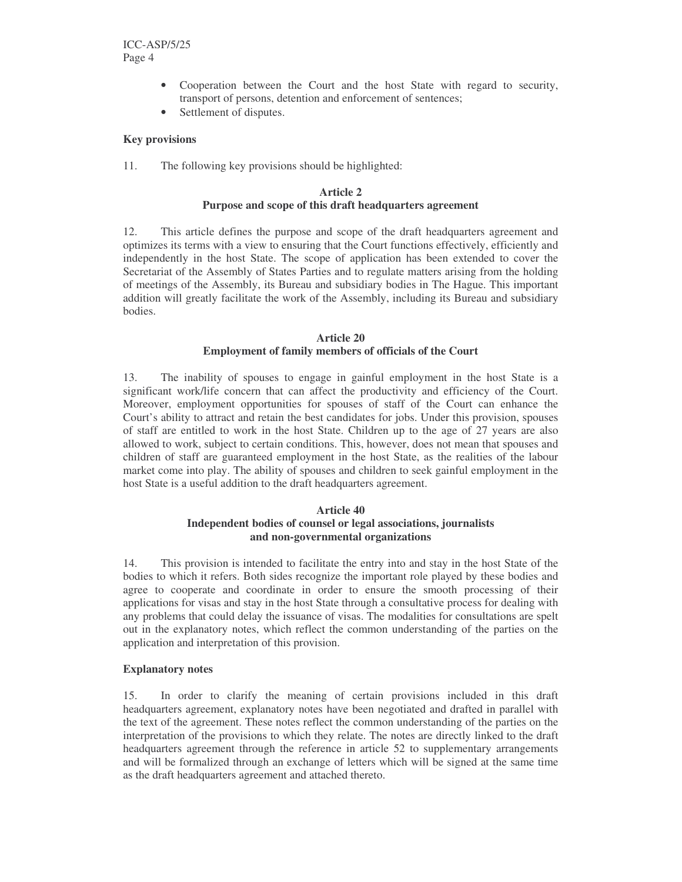- Cooperation between the Court and the host State with regard to security, transport of persons, detention and enforcement of sentences;
- Settlement of disputes.

# **Key provisions**

11. The following key provisions should be highlighted:

# **Article 2 Purpose and scope of this draft headquarters agreement**

12. This article defines the purpose and scope of the draft headquarters agreement and optimizes its terms with a view to ensuring that the Court functions effectively, efficiently and independently in the host State. The scope of application has been extended to cover the Secretariat of the Assembly of States Parties and to regulate matters arising from the holding of meetings of the Assembly, its Bureau and subsidiary bodies in The Hague. This important addition will greatly facilitate the work of the Assembly, including its Bureau and subsidiary bodies.

# **Article 20 Employment of family members of officials of the Court**

13. The inability of spouses to engage in gainful employment in the host State is a significant work/life concern that can affect the productivity and efficiency of the Court. Moreover, employment opportunities for spouses of staff of the Court can enhance the Court's ability to attract and retain the best candidates for jobs. Under this provision, spouses of staff are entitled to work in the host State. Children up to the age of 27 years are also allowed to work, subject to certain conditions. This, however, does not mean that spouses and children of staff are guaranteed employment in the host State, as the realities of the labour market come into play. The ability of spouses and children to seek gainful employment in the host State is a useful addition to the draft headquarters agreement.

## **Article 40**

# **Independent bodies of counsel or legal associations, journalists and non-governmental organizations**

14. This provision is intended to facilitate the entry into and stay in the host State of the bodies to which it refers. Both sides recognize the important role played by these bodies and agree to cooperate and coordinate in order to ensure the smooth processing of their applications for visas and stay in the host State through a consultative process for dealing with any problems that could delay the issuance of visas. The modalities for consultations are spelt out in the explanatory notes, which reflect the common understanding of the parties on the application and interpretation of this provision.

## **Explanatory notes**

15. In order to clarify the meaning of certain provisions included in this draft headquarters agreement, explanatory notes have been negotiated and drafted in parallel with the text of the agreement. These notes reflect the common understanding of the parties on the interpretation of the provisions to which they relate. The notes are directly linked to the draft headquarters agreement through the reference in article 52 to supplementary arrangements and will be formalized through an exchange of letters which will be signed at the same time as the draft headquarters agreement and attached thereto.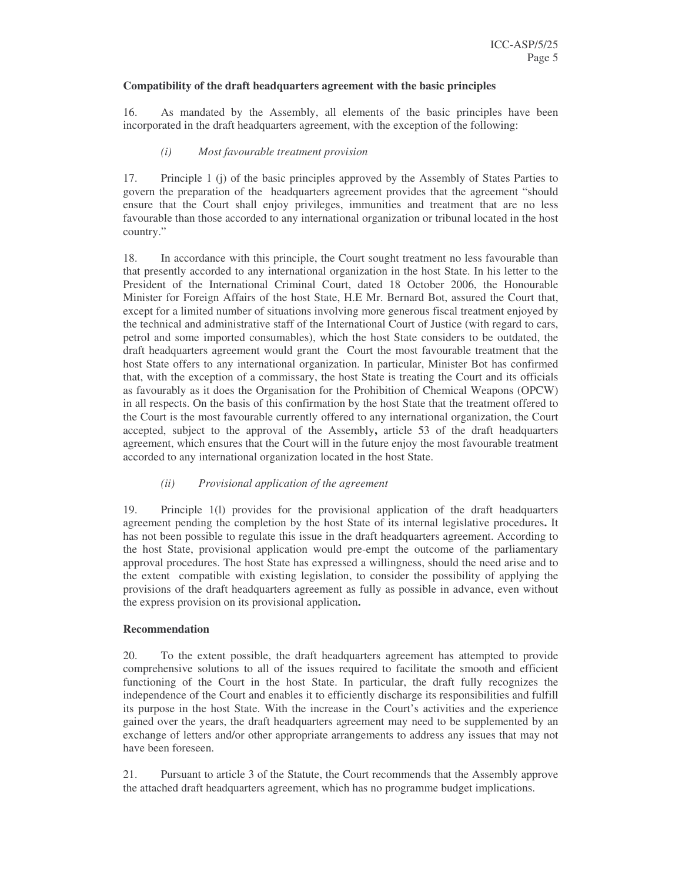#### **Compatibility of the draft headquarters agreement with the basic principles**

16. As mandated by the Assembly, all elements of the basic principles have been incorporated in the draft headquarters agreement, with the exception of the following:

#### *(i) Most favourable treatment provision*

17. Principle 1 (j) of the basic principles approved by the Assembly of States Parties to govern the preparation of the headquarters agreement provides that the agreement "should ensure that the Court shall enjoy privileges, immunities and treatment that are no less favourable than those accorded to any international organization or tribunal located in the host country."

18. In accordance with this principle, the Court sought treatment no less favourable than that presently accorded to any international organization in the host State. In his letter to the President of the International Criminal Court, dated 18 October 2006, the Honourable Minister for Foreign Affairs of the host State, H.E Mr. Bernard Bot, assured the Court that, except for a limited number of situations involving more generous fiscal treatment enjoyed by the technical and administrative staff of the International Court of Justice (with regard to cars, petrol and some imported consumables), which the host State considers to be outdated, the draft headquarters agreement would grant the Court the most favourable treatment that the host State offers to any international organization. In particular, Minister Bot has confirmed that, with the exception of a commissary, the host State is treating the Court and its officials as favourably as it does the Organisation for the Prohibition of Chemical Weapons (OPCW) in all respects. On the basis of this confirmation by the host State that the treatment offered to the Court is the most favourable currently offered to any international organization, the Court accepted, subject to the approval of the Assembly**,** article 53 of the draft headquarters agreement, which ensures that the Court will in the future enjoy the most favourable treatment accorded to any international organization located in the host State.

## *(ii) Provisional application of the agreement*

19. Principle 1(l) provides for the provisional application of the draft headquarters agreement pending the completion by the host State of its internal legislative procedures**.** It has not been possible to regulate this issue in the draft headquarters agreement. According to the host State, provisional application would pre-empt the outcome of the parliamentary approval procedures. The host State has expressed a willingness, should the need arise and to the extent compatible with existing legislation, to consider the possibility of applying the provisions of the draft headquarters agreement as fully as possible in advance, even without the express provision on its provisional application**.**

## **Recommendation**

20. To the extent possible, the draft headquarters agreement has attempted to provide comprehensive solutions to all of the issues required to facilitate the smooth and efficient functioning of the Court in the host State. In particular, the draft fully recognizes the independence of the Court and enables it to efficiently discharge its responsibilities and fulfill its purpose in the host State. With the increase in the Court's activities and the experience gained over the years, the draft headquarters agreement may need to be supplemented by an exchange of letters and/or other appropriate arrangements to address any issues that may not have been foreseen.

21. Pursuant to article 3 of the Statute, the Court recommends that the Assembly approve the attached draft headquarters agreement, which has no programme budget implications.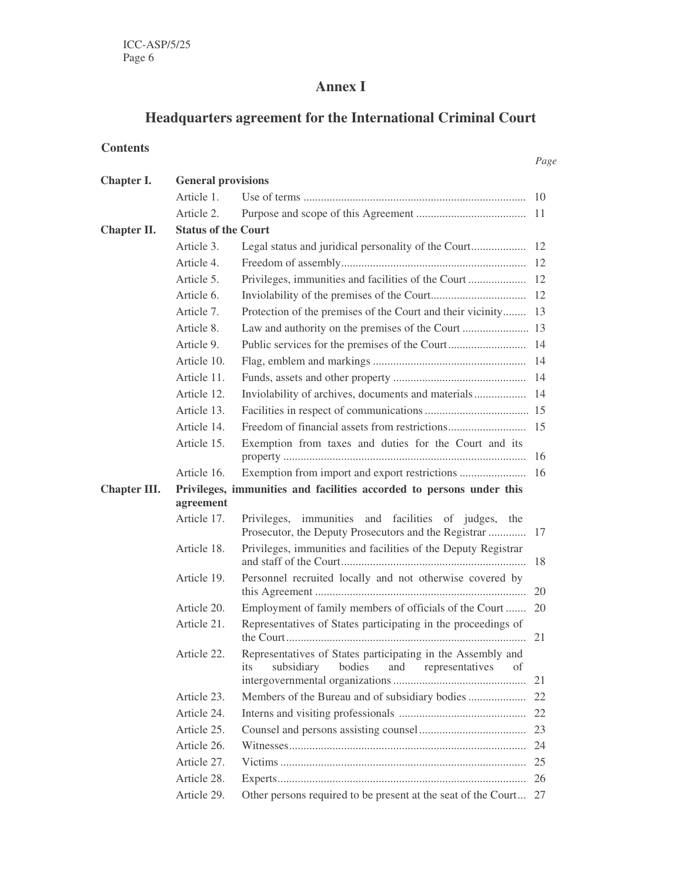# **Annex I**

# **Headquarters agreement for the International Criminal Court**

*Page*

# **Contents**

| Chapter I.   | <b>General provisions</b>                                                         |                                                                                                                |    |  |  |
|--------------|-----------------------------------------------------------------------------------|----------------------------------------------------------------------------------------------------------------|----|--|--|
|              | Article 1.                                                                        |                                                                                                                |    |  |  |
|              | Article 2.                                                                        |                                                                                                                |    |  |  |
| Chapter II.  | <b>Status of the Court</b>                                                        |                                                                                                                |    |  |  |
|              | Article 3.                                                                        |                                                                                                                |    |  |  |
|              | Article 4.                                                                        |                                                                                                                |    |  |  |
|              | Article 5.                                                                        |                                                                                                                |    |  |  |
|              | Article 6.                                                                        |                                                                                                                |    |  |  |
|              | Article 7.                                                                        | Protection of the premises of the Court and their vicinity 13                                                  |    |  |  |
|              | Article 8.                                                                        |                                                                                                                |    |  |  |
|              | Article 9.                                                                        |                                                                                                                |    |  |  |
|              | Article 10.                                                                       |                                                                                                                |    |  |  |
|              | Article 11.                                                                       |                                                                                                                |    |  |  |
|              | Article 12.                                                                       |                                                                                                                |    |  |  |
|              | Article 13.                                                                       |                                                                                                                |    |  |  |
|              | Article 14.                                                                       |                                                                                                                |    |  |  |
|              | Article 15.                                                                       | Exemption from taxes and duties for the Court and its                                                          | 16 |  |  |
|              | Article 16.                                                                       |                                                                                                                |    |  |  |
| Chapter III. | Privileges, immunities and facilities accorded to persons under this<br>agreement |                                                                                                                |    |  |  |
|              | Article 17.                                                                       | Privileges, immunities and facilities of judges,<br>the                                                        |    |  |  |
|              | Article 18.                                                                       | Privileges, immunities and facilities of the Deputy Registrar                                                  | 18 |  |  |
|              | Article 19.                                                                       | Personnel recruited locally and not otherwise covered by                                                       | 20 |  |  |
|              | Article 20.                                                                       | Employment of family members of officials of the Court                                                         | 20 |  |  |
|              | Article 21.                                                                       | Representatives of States participating in the proceedings of                                                  |    |  |  |
|              | Article 22.                                                                       | Representatives of States participating in the Assembly and<br>bodies and representatives of<br>its subsidiary | 21 |  |  |
|              | Article 23.                                                                       |                                                                                                                | 22 |  |  |
|              | Article 24.                                                                       |                                                                                                                |    |  |  |
|              | Article 25.                                                                       |                                                                                                                |    |  |  |
|              | Article 26.                                                                       |                                                                                                                | 24 |  |  |
|              | Article 27.                                                                       |                                                                                                                | 25 |  |  |
|              | Article 28.                                                                       |                                                                                                                |    |  |  |
|              | Article 29.                                                                       | Other persons required to be present at the seat of the Court 27                                               |    |  |  |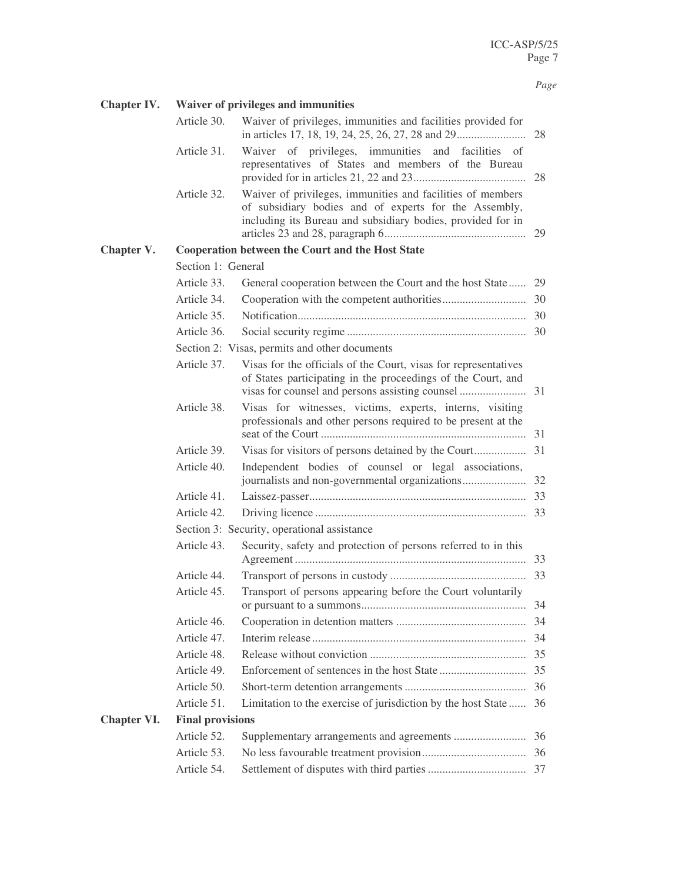# *Page*

| Chapter IV.        | Waiver of privileges and immunities         |                                                                                                                                                                                    |     |  |
|--------------------|---------------------------------------------|------------------------------------------------------------------------------------------------------------------------------------------------------------------------------------|-----|--|
|                    | Article 30.                                 | Waiver of privileges, immunities and facilities provided for                                                                                                                       |     |  |
|                    | Article 31.                                 | Waiver of privileges, immunities and facilities of<br>representatives of States and members of the Bureau                                                                          | 28  |  |
|                    | Article 32.                                 | Waiver of privileges, immunities and facilities of members<br>of subsidiary bodies and of experts for the Assembly,<br>including its Bureau and subsidiary bodies, provided for in |     |  |
| Chapter V.         |                                             | <b>Cooperation between the Court and the Host State</b>                                                                                                                            |     |  |
|                    | Section 1: General                          |                                                                                                                                                                                    |     |  |
|                    | Article 33.                                 | General cooperation between the Court and the host State 29                                                                                                                        |     |  |
|                    | Article 34.                                 |                                                                                                                                                                                    |     |  |
|                    | Article 35.                                 |                                                                                                                                                                                    |     |  |
|                    | Article 36.                                 |                                                                                                                                                                                    |     |  |
|                    |                                             | Section 2: Visas, permits and other documents                                                                                                                                      |     |  |
|                    | Article 37.                                 | Visas for the officials of the Court, visas for representatives<br>of States participating in the proceedings of the Court, and                                                    |     |  |
|                    | Article 38.                                 | Visas for witnesses, victims, experts, interns, visiting<br>professionals and other persons required to be present at the                                                          |     |  |
|                    | Article 39.                                 |                                                                                                                                                                                    |     |  |
|                    | Article 40.                                 | Independent bodies of counsel or legal associations,                                                                                                                               |     |  |
|                    | Article 41.                                 |                                                                                                                                                                                    |     |  |
|                    | Article 42.                                 |                                                                                                                                                                                    |     |  |
|                    | Section 3: Security, operational assistance |                                                                                                                                                                                    |     |  |
|                    | Article 43.                                 | Security, safety and protection of persons referred to in this                                                                                                                     |     |  |
|                    | Article 44.                                 |                                                                                                                                                                                    |     |  |
|                    | Article 45.                                 | Transport of persons appearing before the Court voluntarily                                                                                                                        | -34 |  |
|                    | Article 46.                                 |                                                                                                                                                                                    | 34  |  |
|                    | Article 47.                                 |                                                                                                                                                                                    | 34  |  |
|                    | Article 48.                                 |                                                                                                                                                                                    | 35  |  |
|                    | Article 49.                                 |                                                                                                                                                                                    | 35  |  |
|                    | Article 50.                                 |                                                                                                                                                                                    | 36  |  |
|                    | Article 51.                                 | Limitation to the exercise of jurisdiction by the host State                                                                                                                       | 36  |  |
| <b>Chapter VI.</b> | <b>Final provisions</b>                     |                                                                                                                                                                                    |     |  |
|                    | Article 52.                                 |                                                                                                                                                                                    | 36  |  |
|                    | Article 53.                                 |                                                                                                                                                                                    |     |  |
|                    | Article 54.                                 |                                                                                                                                                                                    |     |  |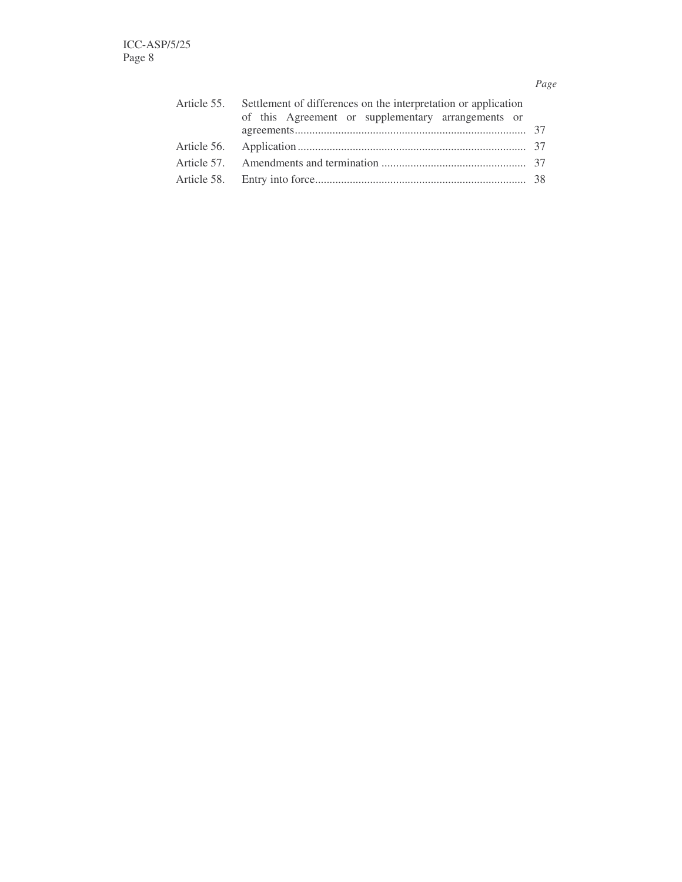# *Page*

| Article 55. Settlement of differences on the interpretation or application |  |  |  |  |  |
|----------------------------------------------------------------------------|--|--|--|--|--|
| of this Agreement or supplementary arrangements or                         |  |  |  |  |  |
|                                                                            |  |  |  |  |  |
|                                                                            |  |  |  |  |  |
|                                                                            |  |  |  |  |  |
|                                                                            |  |  |  |  |  |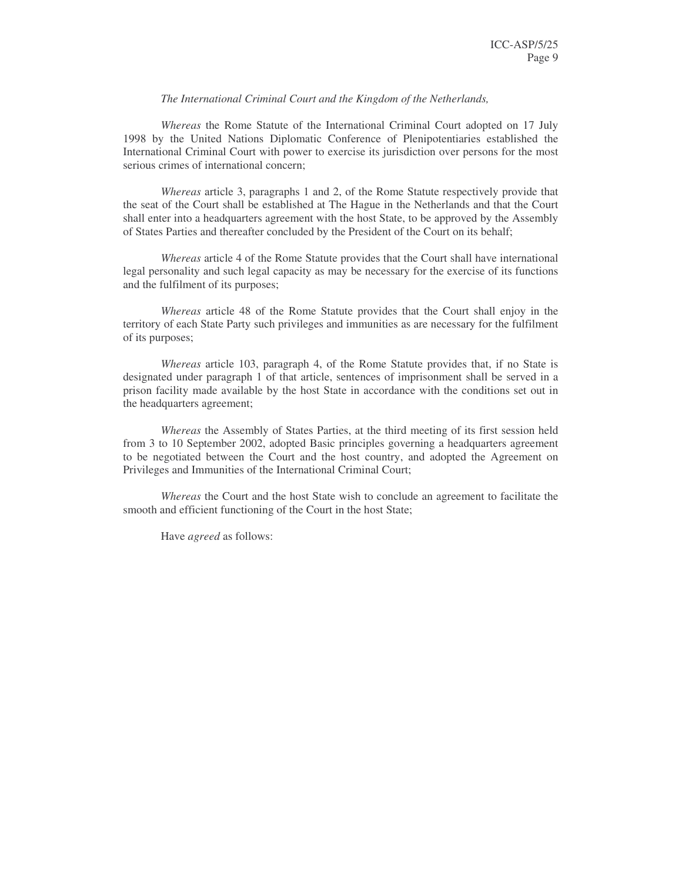#### *The International Criminal Court and the Kingdom of the Netherlands,*

*Whereas* the Rome Statute of the International Criminal Court adopted on 17 July 1998 by the United Nations Diplomatic Conference of Plenipotentiaries established the International Criminal Court with power to exercise its jurisdiction over persons for the most serious crimes of international concern;

*Whereas* article 3, paragraphs 1 and 2, of the Rome Statute respectively provide that the seat of the Court shall be established at The Hague in the Netherlands and that the Court shall enter into a headquarters agreement with the host State, to be approved by the Assembly of States Parties and thereafter concluded by the President of the Court on its behalf;

*Whereas* article 4 of the Rome Statute provides that the Court shall have international legal personality and such legal capacity as may be necessary for the exercise of its functions and the fulfilment of its purposes;

*Whereas* article 48 of the Rome Statute provides that the Court shall enjoy in the territory of each State Party such privileges and immunities as are necessary for the fulfilment of its purposes;

*Whereas* article 103, paragraph 4, of the Rome Statute provides that, if no State is designated under paragraph 1 of that article, sentences of imprisonment shall be served in a prison facility made available by the host State in accordance with the conditions set out in the headquarters agreement;

*Whereas* the Assembly of States Parties, at the third meeting of its first session held from 3 to 10 September 2002, adopted Basic principles governing a headquarters agreement to be negotiated between the Court and the host country, and adopted the Agreement on Privileges and Immunities of the International Criminal Court;

*Whereas* the Court and the host State wish to conclude an agreement to facilitate the smooth and efficient functioning of the Court in the host State;

Have *agreed* as follows: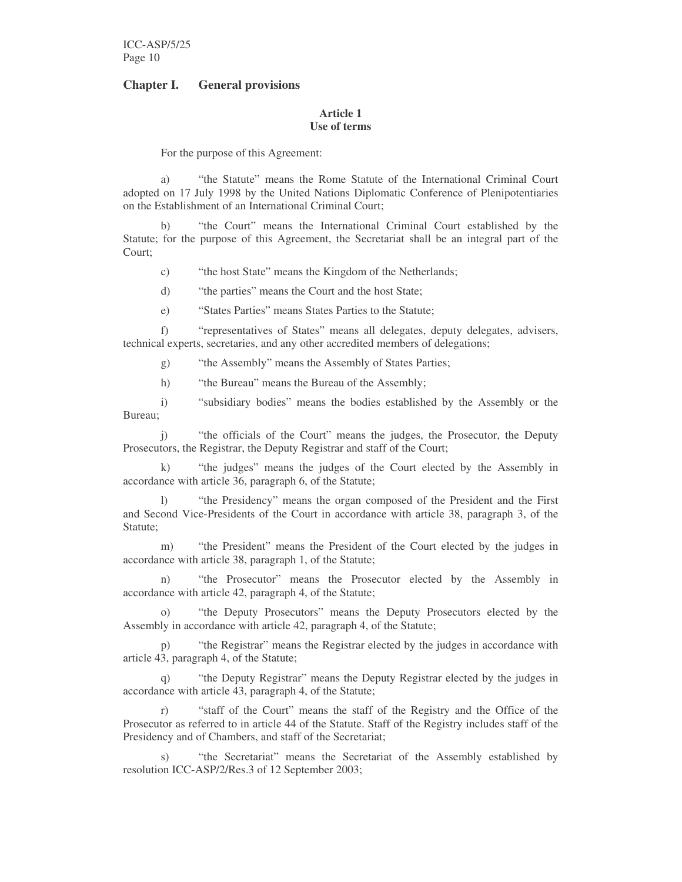# **Chapter I. General provisions**

#### **Article 1 Use of terms**

For the purpose of this Agreement:

a) "the Statute" means the Rome Statute of the International Criminal Court adopted on 17 July 1998 by the United Nations Diplomatic Conference of Plenipotentiaries on the Establishment of an International Criminal Court;

b) "the Court" means the International Criminal Court established by the Statute; for the purpose of this Agreement, the Secretariat shall be an integral part of the Court;

- c) "the host State" means the Kingdom of the Netherlands;
- d) "the parties" means the Court and the host State;
- e) "States Parties" means States Parties to the Statute;

f) "representatives of States" means all delegates, deputy delegates, advisers, technical experts, secretaries, and any other accredited members of delegations;

- g) "the Assembly" means the Assembly of States Parties;
- h) "the Bureau" means the Bureau of the Assembly;

i) "subsidiary bodies" means the bodies established by the Assembly or the Bureau;

j) "the officials of the Court" means the judges, the Prosecutor, the Deputy Prosecutors, the Registrar, the Deputy Registrar and staff of the Court;

k) "the judges" means the judges of the Court elected by the Assembly in accordance with article 36, paragraph 6, of the Statute;

l) "the Presidency" means the organ composed of the President and the First and Second Vice-Presidents of the Court in accordance with article 38, paragraph 3, of the Statute;

m) "the President" means the President of the Court elected by the judges in accordance with article 38, paragraph 1, of the Statute;

"the Prosecutor" means the Prosecutor elected by the Assembly in accordance with article 42, paragraph 4, of the Statute;

o) "the Deputy Prosecutors" means the Deputy Prosecutors elected by the Assembly in accordance with article 42, paragraph 4, of the Statute;

p) "the Registrar" means the Registrar elected by the judges in accordance with article 43, paragraph 4, of the Statute;

"the Deputy Registrar" means the Deputy Registrar elected by the judges in accordance with article 43, paragraph 4, of the Statute;

r) "staff of the Court" means the staff of the Registry and the Office of the Prosecutor as referred to in article 44 of the Statute. Staff of the Registry includes staff of the Presidency and of Chambers, and staff of the Secretariat;

s) "the Secretariat" means the Secretariat of the Assembly established by resolution ICC-ASP/2/Res.3 of 12 September 2003;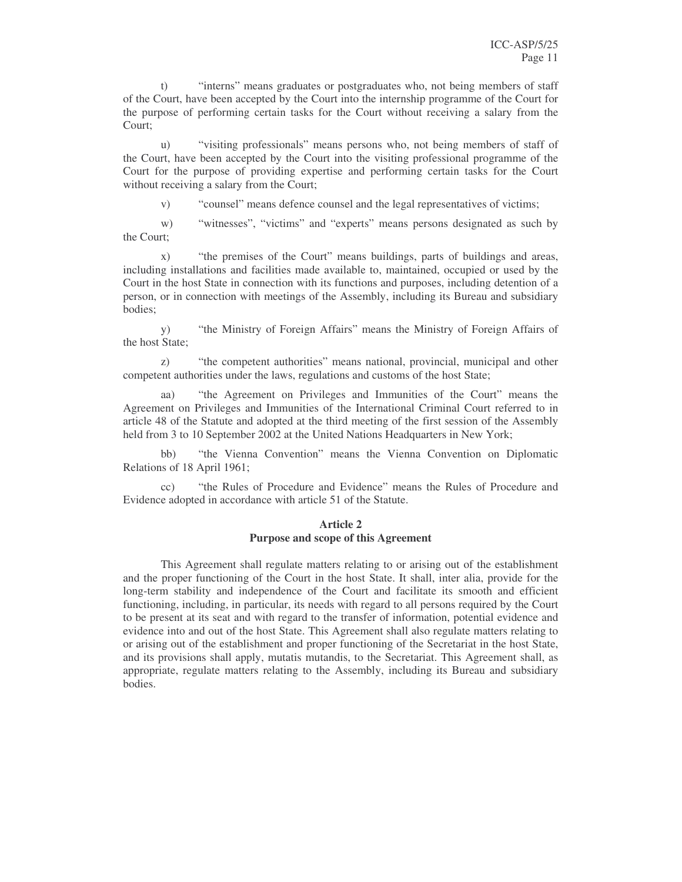t) "interns" means graduates or postgraduates who, not being members of staff of the Court, have been accepted by the Court into the internship programme of the Court for the purpose of performing certain tasks for the Court without receiving a salary from the Court;

u) "visiting professionals" means persons who, not being members of staff of the Court, have been accepted by the Court into the visiting professional programme of the Court for the purpose of providing expertise and performing certain tasks for the Court without receiving a salary from the Court;

v) "counsel" means defence counsel and the legal representatives of victims;

w) "witnesses", "victims" and "experts" means persons designated as such by the Court;

x) "the premises of the Court" means buildings, parts of buildings and areas, including installations and facilities made available to, maintained, occupied or used by the Court in the host State in connection with its functions and purposes, including detention of a person, or in connection with meetings of the Assembly, including its Bureau and subsidiary bodies;

y) "the Ministry of Foreign Affairs" means the Ministry of Foreign Affairs of the host State;

z) "the competent authorities" means national, provincial, municipal and other competent authorities under the laws, regulations and customs of the host State;

aa) "the Agreement on Privileges and Immunities of the Court" means the Agreement on Privileges and Immunities of the International Criminal Court referred to in article 48 of the Statute and adopted at the third meeting of the first session of the Assembly held from 3 to 10 September 2002 at the United Nations Headquarters in New York;

bb) "the Vienna Convention" means the Vienna Convention on Diplomatic Relations of 18 April 1961;

cc) "the Rules of Procedure and Evidence" means the Rules of Procedure and Evidence adopted in accordance with article 51 of the Statute.

#### **Article 2 Purpose and scope of this Agreement**

This Agreement shall regulate matters relating to or arising out of the establishment and the proper functioning of the Court in the host State. It shall, inter alia, provide for the long-term stability and independence of the Court and facilitate its smooth and efficient functioning, including, in particular, its needs with regard to all persons required by the Court to be present at its seat and with regard to the transfer of information, potential evidence and evidence into and out of the host State. This Agreement shall also regulate matters relating to or arising out of the establishment and proper functioning of the Secretariat in the host State, and its provisions shall apply, mutatis mutandis, to the Secretariat. This Agreement shall, as appropriate, regulate matters relating to the Assembly, including its Bureau and subsidiary bodies.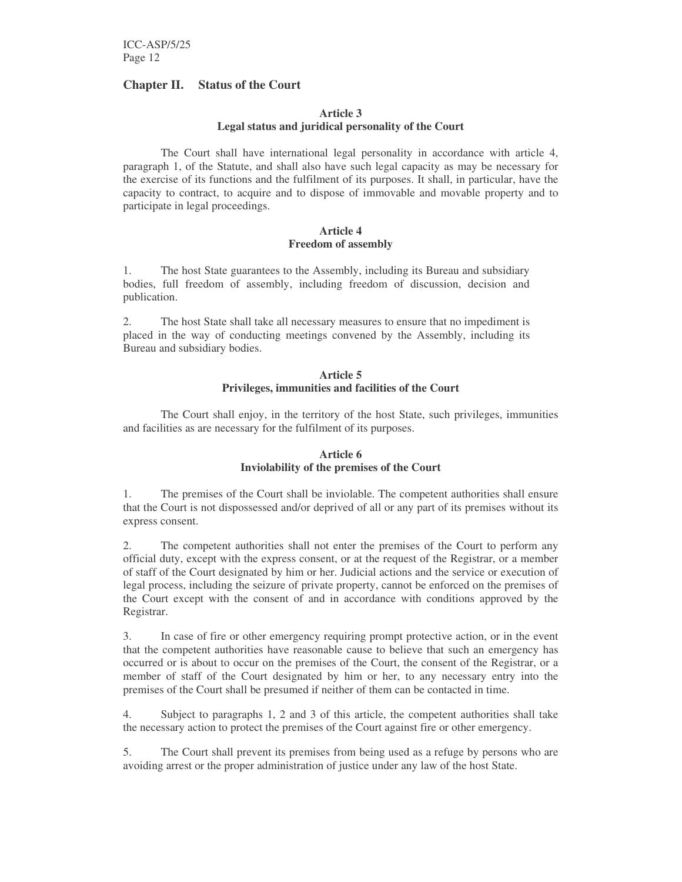# **Chapter II. Status of the Court**

# **Article 3**

# **Legal status and juridical personality of the Court**

The Court shall have international legal personality in accordance with article 4, paragraph 1, of the Statute, and shall also have such legal capacity as may be necessary for the exercise of its functions and the fulfilment of its purposes. It shall, in particular, have the capacity to contract, to acquire and to dispose of immovable and movable property and to participate in legal proceedings.

#### **Article 4 Freedom of assembly**

1. The host State guarantees to the Assembly, including its Bureau and subsidiary bodies, full freedom of assembly, including freedom of discussion, decision and publication.

2. The host State shall take all necessary measures to ensure that no impediment is placed in the way of conducting meetings convened by the Assembly, including its Bureau and subsidiary bodies.

## **Article 5 Privileges, immunities and facilities of the Court**

The Court shall enjoy, in the territory of the host State, such privileges, immunities and facilities as are necessary for the fulfilment of its purposes.

## **Article 6 Inviolability of the premises of the Court**

1. The premises of the Court shall be inviolable. The competent authorities shall ensure that the Court is not dispossessed and/or deprived of all or any part of its premises without its express consent.

2. The competent authorities shall not enter the premises of the Court to perform any official duty, except with the express consent, or at the request of the Registrar, or a member of staff of the Court designated by him or her. Judicial actions and the service or execution of legal process, including the seizure of private property, cannot be enforced on the premises of the Court except with the consent of and in accordance with conditions approved by the Registrar.

3. In case of fire or other emergency requiring prompt protective action, or in the event that the competent authorities have reasonable cause to believe that such an emergency has occurred or is about to occur on the premises of the Court, the consent of the Registrar, or a member of staff of the Court designated by him or her, to any necessary entry into the premises of the Court shall be presumed if neither of them can be contacted in time.

4. Subject to paragraphs 1, 2 and 3 of this article, the competent authorities shall take the necessary action to protect the premises of the Court against fire or other emergency.

5. The Court shall prevent its premises from being used as a refuge by persons who are avoiding arrest or the proper administration of justice under any law of the host State.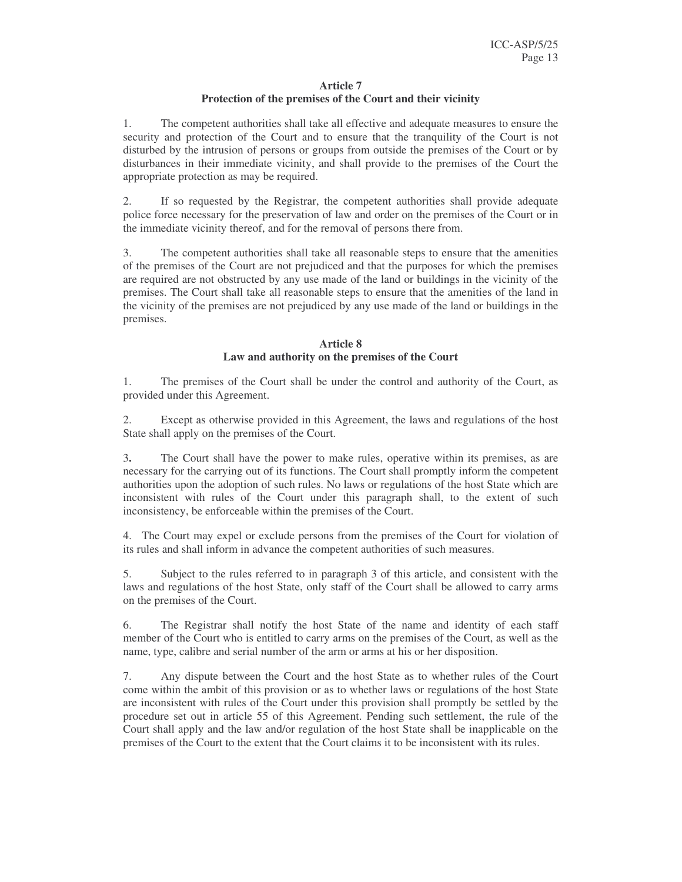#### **Article 7**

# **Protection of the premises of the Court and their vicinity**

1. The competent authorities shall take all effective and adequate measures to ensure the security and protection of the Court and to ensure that the tranquility of the Court is not disturbed by the intrusion of persons or groups from outside the premises of the Court or by disturbances in their immediate vicinity, and shall provide to the premises of the Court the appropriate protection as may be required.

2. If so requested by the Registrar, the competent authorities shall provide adequate police force necessary for the preservation of law and order on the premises of the Court or in the immediate vicinity thereof, and for the removal of persons there from.

3. The competent authorities shall take all reasonable steps to ensure that the amenities of the premises of the Court are not prejudiced and that the purposes for which the premises are required are not obstructed by any use made of the land or buildings in the vicinity of the premises. The Court shall take all reasonable steps to ensure that the amenities of the land in the vicinity of the premises are not prejudiced by any use made of the land or buildings in the premises.

# **Article 8 Law and authority on the premises of the Court**

1. The premises of the Court shall be under the control and authority of the Court, as provided under this Agreement.

2. Except as otherwise provided in this Agreement, the laws and regulations of the host State shall apply on the premises of the Court.

3**.** The Court shall have the power to make rules, operative within its premises, as are necessary for the carrying out of its functions. The Court shall promptly inform the competent authorities upon the adoption of such rules. No laws or regulations of the host State which are inconsistent with rules of the Court under this paragraph shall, to the extent of such inconsistency, be enforceable within the premises of the Court.

4. The Court may expel or exclude persons from the premises of the Court for violation of its rules and shall inform in advance the competent authorities of such measures.

5. Subject to the rules referred to in paragraph 3 of this article, and consistent with the laws and regulations of the host State, only staff of the Court shall be allowed to carry arms on the premises of the Court.

6. The Registrar shall notify the host State of the name and identity of each staff member of the Court who is entitled to carry arms on the premises of the Court, as well as the name, type, calibre and serial number of the arm or arms at his or her disposition.

7. Any dispute between the Court and the host State as to whether rules of the Court come within the ambit of this provision or as to whether laws or regulations of the host State are inconsistent with rules of the Court under this provision shall promptly be settled by the procedure set out in article 55 of this Agreement. Pending such settlement, the rule of the Court shall apply and the law and/or regulation of the host State shall be inapplicable on the premises of the Court to the extent that the Court claims it to be inconsistent with its rules.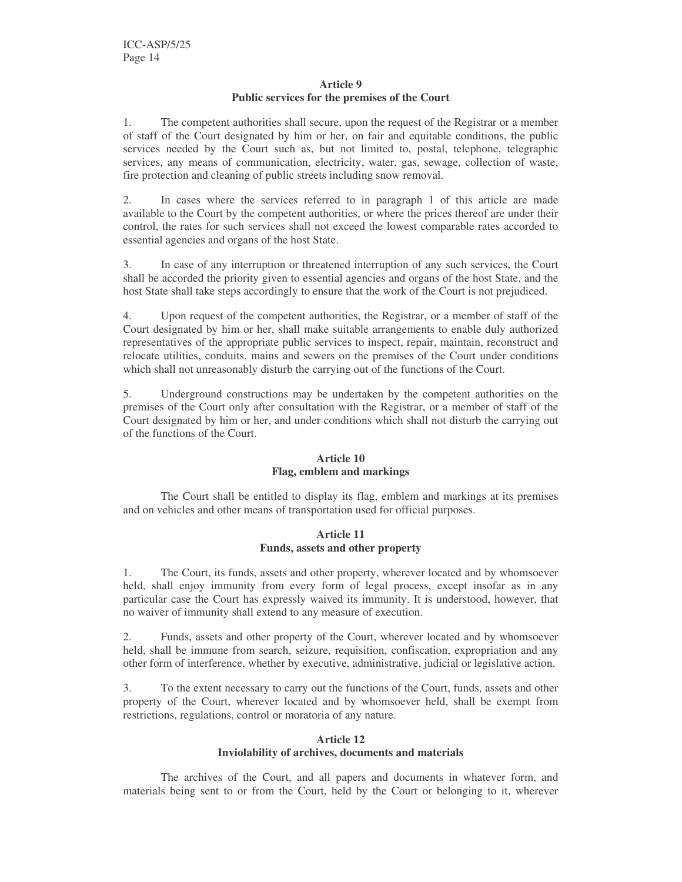#### **Article 9 Public services for the premises of the Court**

1. The competent authorities shall secure, upon the request of the Registrar or a member of staff of the Court designated by him or her, on fair and equitable conditions, the public services needed by the Court such as, but not limited to, postal, telephone, telegraphic services, any means of communication, electricity, water, gas, sewage, collection of waste, fire protection and cleaning of public streets including snow removal.

2. In cases where the services referred to in paragraph 1 of this article are made available to the Court by the competent authorities, or where the prices thereof are under their control, the rates for such services shall not exceed the lowest comparable rates accorded to essential agencies and organs of the host State.

3. In case of any interruption or threatened interruption of any such services, the Court shall be accorded the priority given to essential agencies and organs of the host State, and the host State shall take steps accordingly to ensure that the work of the Court is not prejudiced.

4. Upon request of the competent authorities, the Registrar, or a member of staff of the Court designated by him or her, shall make suitable arrangements to enable duly authorized representatives of the appropriate public services to inspect, repair, maintain, reconstruct and relocate utilities, conduits, mains and sewers on the premises of the Court under conditions which shall not unreasonably disturb the carrying out of the functions of the Court.

5. Underground constructions may be undertaken by the competent authorities on the premises of the Court only after consultation with the Registrar, or a member of staff of the Court designated by him or her, and under conditions which shall not disturb the carrying out of the functions of the Court.

# **Article 10 Flag, emblem and markings**

The Court shall be entitled to display its flag, emblem and markings at its premises and on vehicles and other means of transportation used for official purposes.

# **Article 11 Funds, assets and other property**

1. The Court, its funds, assets and other property, wherever located and by whomsoever held, shall enjoy immunity from every form of legal process, except insofar as in any particular case the Court has expressly waived its immunity. It is understood, however, that no waiver of immunity shall extend to any measure of execution.

2. Funds, assets and other property of the Court, wherever located and by whomsoever held, shall be immune from search, seizure, requisition, confiscation, expropriation and any other form of interference, whether by executive, administrative, judicial or legislative action.

3. To the extent necessary to carry out the functions of the Court, funds, assets and other property of the Court, wherever located and by whomsoever held, shall be exempt from restrictions, regulations, control or moratoria of any nature.

## **Article 12**

# **Inviolability of archives, documents and materials**

The archives of the Court, and all papers and documents in whatever form, and materials being sent to or from the Court, held by the Court or belonging to it, wherever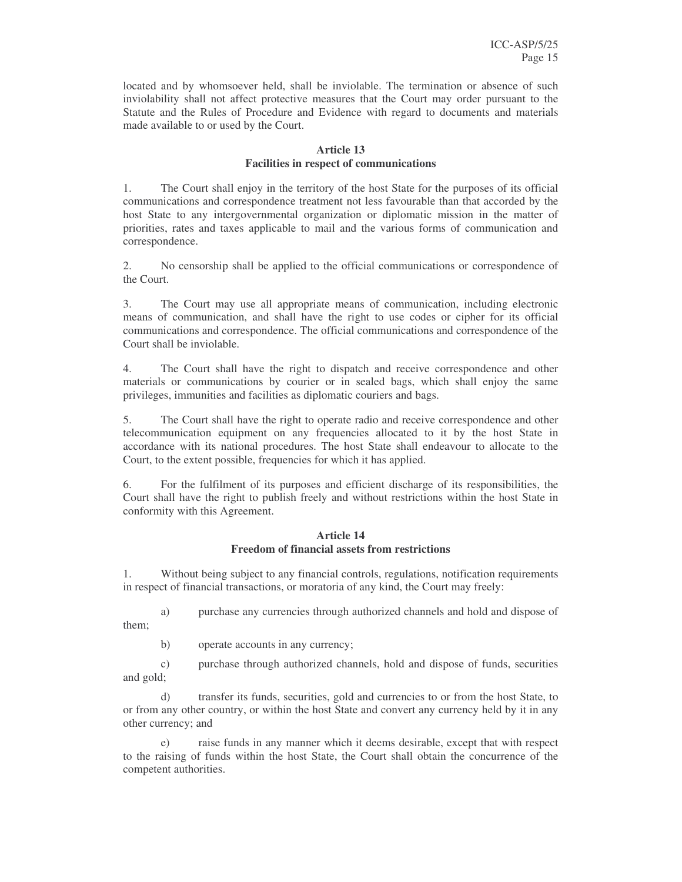located and by whomsoever held, shall be inviolable. The termination or absence of such inviolability shall not affect protective measures that the Court may order pursuant to the Statute and the Rules of Procedure and Evidence with regard to documents and materials made available to or used by the Court.

#### **Article 13 Facilities in respect of communications**

1. The Court shall enjoy in the territory of the host State for the purposes of its official communications and correspondence treatment not less favourable than that accorded by the host State to any intergovernmental organization or diplomatic mission in the matter of priorities, rates and taxes applicable to mail and the various forms of communication and correspondence.

2. No censorship shall be applied to the official communications or correspondence of the Court.

3. The Court may use all appropriate means of communication, including electronic means of communication, and shall have the right to use codes or cipher for its official communications and correspondence. The official communications and correspondence of the Court shall be inviolable.

4. The Court shall have the right to dispatch and receive correspondence and other materials or communications by courier or in sealed bags, which shall enjoy the same privileges, immunities and facilities as diplomatic couriers and bags.

5. The Court shall have the right to operate radio and receive correspondence and other telecommunication equipment on any frequencies allocated to it by the host State in accordance with its national procedures. The host State shall endeavour to allocate to the Court, to the extent possible, frequencies for which it has applied.

6. For the fulfilment of its purposes and efficient discharge of its responsibilities, the Court shall have the right to publish freely and without restrictions within the host State in conformity with this Agreement.

#### **Article 14 Freedom of financial assets from restrictions**

1. Without being subject to any financial controls, regulations, notification requirements in respect of financial transactions, or moratoria of any kind, the Court may freely:

a) purchase any currencies through authorized channels and hold and dispose of them;

b) operate accounts in any currency;

c) purchase through authorized channels, hold and dispose of funds, securities and gold;

d) transfer its funds, securities, gold and currencies to or from the host State, to or from any other country, or within the host State and convert any currency held by it in any other currency; and

e) raise funds in any manner which it deems desirable, except that with respect to the raising of funds within the host State, the Court shall obtain the concurrence of the competent authorities.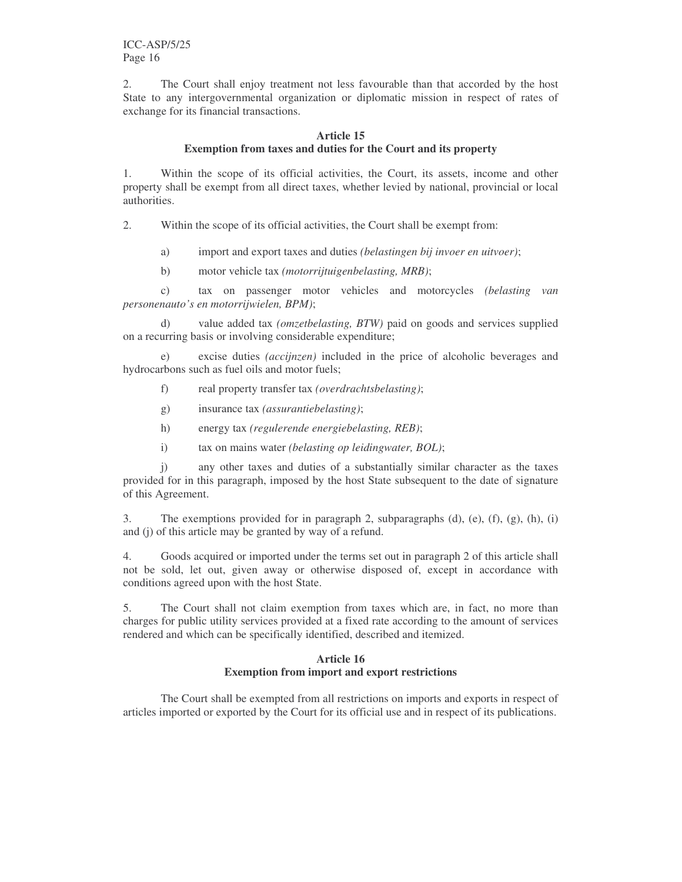2. The Court shall enjoy treatment not less favourable than that accorded by the host State to any intergovernmental organization or diplomatic mission in respect of rates of exchange for its financial transactions.

#### **Article 15 Exemption from taxes and duties for the Court and its property**

1. Within the scope of its official activities, the Court, its assets, income and other property shall be exempt from all direct taxes, whether levied by national, provincial or local authorities.

2. Within the scope of its official activities, the Court shall be exempt from:

a) import and export taxes and duties *(belastingen bij invoer en uitvoer)*;

b) motor vehicle tax *(motorrijtuigenbelasting, MRB)*;

c) tax on passenger motor vehicles and motorcycles *(belasting van personenauto's en motorrijwielen, BPM)*;

d) value added tax *(omzetbelasting, BTW)* paid on goods and services supplied on a recurring basis or involving considerable expenditure;

e) excise duties *(accijnzen)* included in the price of alcoholic beverages and hydrocarbons such as fuel oils and motor fuels;

- f) real property transfer tax *(overdrachtsbelasting)*;
- g) insurance tax *(assurantiebelasting)*;
- h) energy tax *(regulerende energiebelasting, REB)*;
- i) tax on mains water *(belasting op leidingwater, BOL)*;

j) any other taxes and duties of a substantially similar character as the taxes provided for in this paragraph, imposed by the host State subsequent to the date of signature of this Agreement.

3. The exemptions provided for in paragraph 2, subparagraphs (d), (e), (f), (g), (h), (i) and (j) of this article may be granted by way of a refund.

4. Goods acquired or imported under the terms set out in paragraph 2 of this article shall not be sold, let out, given away or otherwise disposed of, except in accordance with conditions agreed upon with the host State.

5. The Court shall not claim exemption from taxes which are, in fact, no more than charges for public utility services provided at a fixed rate according to the amount of services rendered and which can be specifically identified, described and itemized.

# **Article 16 Exemption from import and export restrictions**

The Court shall be exempted from all restrictions on imports and exports in respect of articles imported or exported by the Court for its official use and in respect of its publications.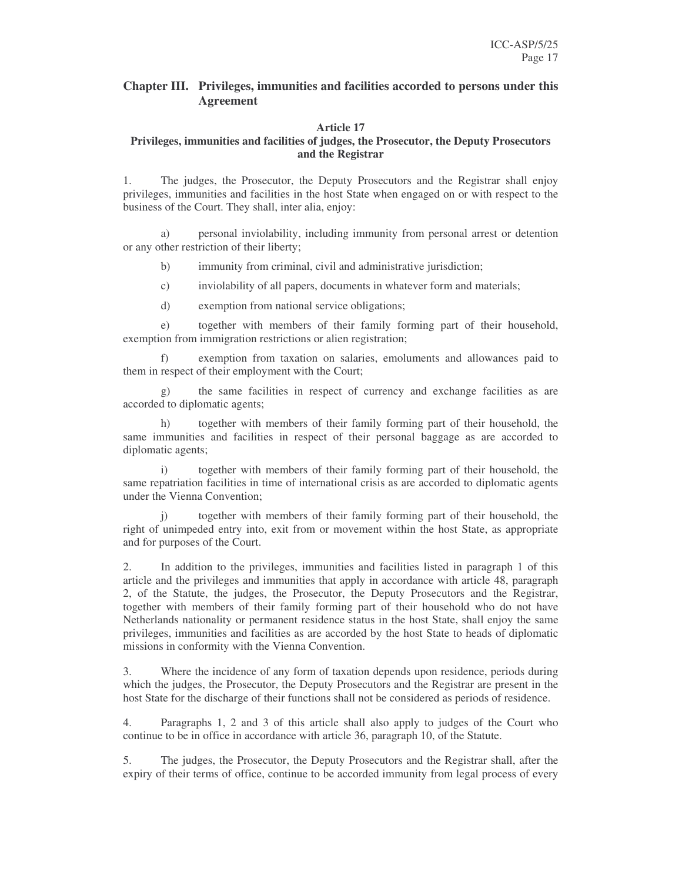# **Chapter III. Privileges, immunities and facilities accorded to persons under this Agreement**

#### **Article 17**

#### **Privileges, immunities and facilities of judges, the Prosecutor, the Deputy Prosecutors and the Registrar**

1. The judges, the Prosecutor, the Deputy Prosecutors and the Registrar shall enjoy privileges, immunities and facilities in the host State when engaged on or with respect to the business of the Court. They shall, inter alia, enjoy:

a) personal inviolability, including immunity from personal arrest or detention or any other restriction of their liberty;

- b) immunity from criminal, civil and administrative jurisdiction;
- c) inviolability of all papers, documents in whatever form and materials;
- d) exemption from national service obligations;

e) together with members of their family forming part of their household, exemption from immigration restrictions or alien registration;

f) exemption from taxation on salaries, emoluments and allowances paid to them in respect of their employment with the Court;

g) the same facilities in respect of currency and exchange facilities as are accorded to diplomatic agents;

h) together with members of their family forming part of their household, the same immunities and facilities in respect of their personal baggage as are accorded to diplomatic agents;

i) together with members of their family forming part of their household, the same repatriation facilities in time of international crisis as are accorded to diplomatic agents under the Vienna Convention;

j) together with members of their family forming part of their household, the right of unimpeded entry into, exit from or movement within the host State, as appropriate and for purposes of the Court.

2. In addition to the privileges, immunities and facilities listed in paragraph 1 of this article and the privileges and immunities that apply in accordance with article 48, paragraph 2, of the Statute, the judges, the Prosecutor, the Deputy Prosecutors and the Registrar, together with members of their family forming part of their household who do not have Netherlands nationality or permanent residence status in the host State, shall enjoy the same privileges, immunities and facilities as are accorded by the host State to heads of diplomatic missions in conformity with the Vienna Convention.

3. Where the incidence of any form of taxation depends upon residence, periods during which the judges, the Prosecutor, the Deputy Prosecutors and the Registrar are present in the host State for the discharge of their functions shall not be considered as periods of residence.

4. Paragraphs 1, 2 and 3 of this article shall also apply to judges of the Court who continue to be in office in accordance with article 36, paragraph 10, of the Statute.

5. The judges, the Prosecutor, the Deputy Prosecutors and the Registrar shall, after the expiry of their terms of office, continue to be accorded immunity from legal process of every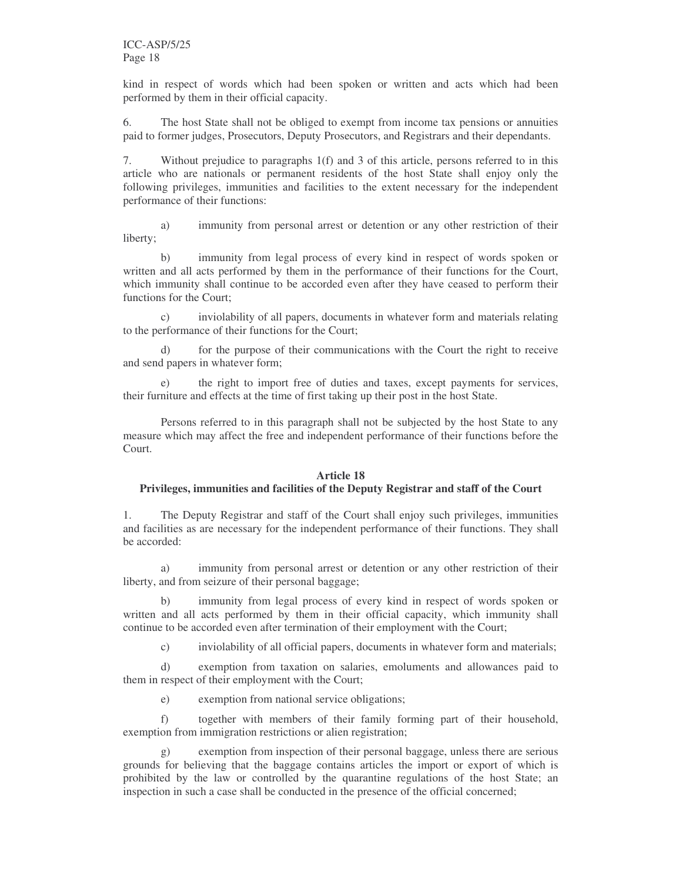kind in respect of words which had been spoken or written and acts which had been performed by them in their official capacity.

6. The host State shall not be obliged to exempt from income tax pensions or annuities paid to former judges, Prosecutors, Deputy Prosecutors, and Registrars and their dependants.

7. Without prejudice to paragraphs 1(f) and 3 of this article, persons referred to in this article who are nationals or permanent residents of the host State shall enjoy only the following privileges, immunities and facilities to the extent necessary for the independent performance of their functions:

a) immunity from personal arrest or detention or any other restriction of their liberty;

b) immunity from legal process of every kind in respect of words spoken or written and all acts performed by them in the performance of their functions for the Court, which immunity shall continue to be accorded even after they have ceased to perform their functions for the Court;

c) inviolability of all papers, documents in whatever form and materials relating to the performance of their functions for the Court;

for the purpose of their communications with the Court the right to receive and send papers in whatever form;

e) the right to import free of duties and taxes, except payments for services, their furniture and effects at the time of first taking up their post in the host State.

Persons referred to in this paragraph shall not be subjected by the host State to any measure which may affect the free and independent performance of their functions before the Court.

## **Article 18**

## **Privileges, immunities and facilities of the Deputy Registrar and staff of the Court**

1. The Deputy Registrar and staff of the Court shall enjoy such privileges, immunities and facilities as are necessary for the independent performance of their functions. They shall be accorded:

a) immunity from personal arrest or detention or any other restriction of their liberty, and from seizure of their personal baggage;

b) immunity from legal process of every kind in respect of words spoken or written and all acts performed by them in their official capacity, which immunity shall continue to be accorded even after termination of their employment with the Court;

c) inviolability of all official papers, documents in whatever form and materials;

d) exemption from taxation on salaries, emoluments and allowances paid to them in respect of their employment with the Court;

e) exemption from national service obligations;

f) together with members of their family forming part of their household, exemption from immigration restrictions or alien registration;

g) exemption from inspection of their personal baggage, unless there are serious grounds for believing that the baggage contains articles the import or export of which is prohibited by the law or controlled by the quarantine regulations of the host State; an inspection in such a case shall be conducted in the presence of the official concerned;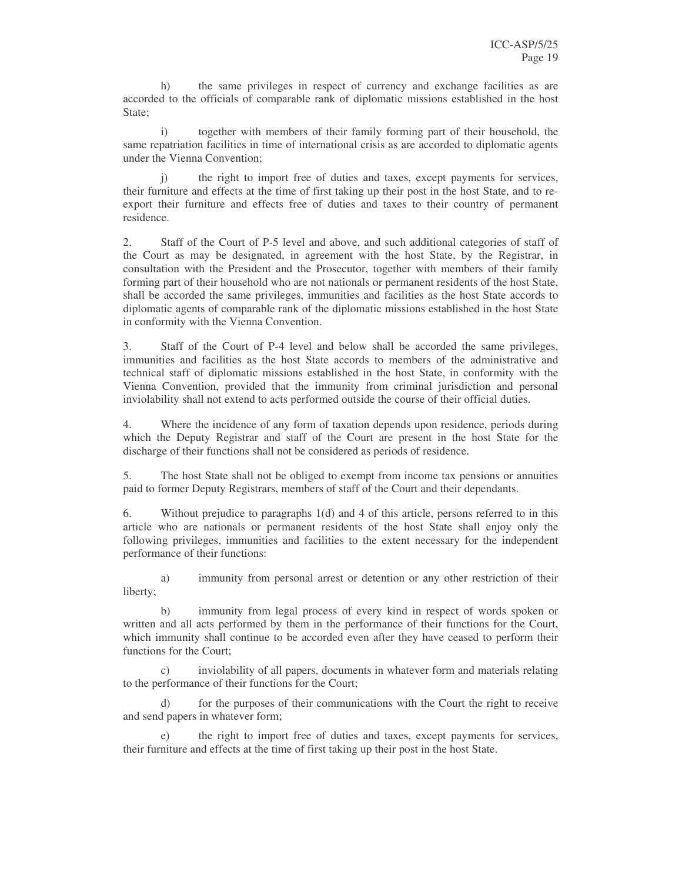h) the same privileges in respect of currency and exchange facilities as are accorded to the officials of comparable rank of diplomatic missions established in the host State;

i) together with members of their family forming part of their household, the same repatriation facilities in time of international crisis as are accorded to diplomatic agents under the Vienna Convention;

j) the right to import free of duties and taxes, except payments for services, their furniture and effects at the time of first taking up their post in the host State, and to reexport their furniture and effects free of duties and taxes to their country of permanent residence.

2. Staff of the Court of P-5 level and above, and such additional categories of staff of the Court as may be designated, in agreement with the host State, by the Registrar, in consultation with the President and the Prosecutor, together with members of their family forming part of their household who are not nationals or permanent residents of the host State, shall be accorded the same privileges, immunities and facilities as the host State accords to diplomatic agents of comparable rank of the diplomatic missions established in the host State in conformity with the Vienna Convention.

3. Staff of the Court of P-4 level and below shall be accorded the same privileges, immunities and facilities as the host State accords to members of the administrative and technical staff of diplomatic missions established in the host State, in conformity with the Vienna Convention, provided that the immunity from criminal jurisdiction and personal inviolability shall not extend to acts performed outside the course of their official duties.

4. Where the incidence of any form of taxation depends upon residence, periods during which the Deputy Registrar and staff of the Court are present in the host State for the discharge of their functions shall not be considered as periods of residence.

5. The host State shall not be obliged to exempt from income tax pensions or annuities paid to former Deputy Registrars, members of staff of the Court and their dependants.

6. Without prejudice to paragraphs 1(d) and 4 of this article, persons referred to in this article who are nationals or permanent residents of the host State shall enjoy only the following privileges, immunities and facilities to the extent necessary for the independent performance of their functions:

a) immunity from personal arrest or detention or any other restriction of their liberty;

b) immunity from legal process of every kind in respect of words spoken or written and all acts performed by them in the performance of their functions for the Court, which immunity shall continue to be accorded even after they have ceased to perform their functions for the Court;

c) inviolability of all papers, documents in whatever form and materials relating to the performance of their functions for the Court;

d) for the purposes of their communications with the Court the right to receive and send papers in whatever form;

e) the right to import free of duties and taxes, except payments for services, their furniture and effects at the time of first taking up their post in the host State.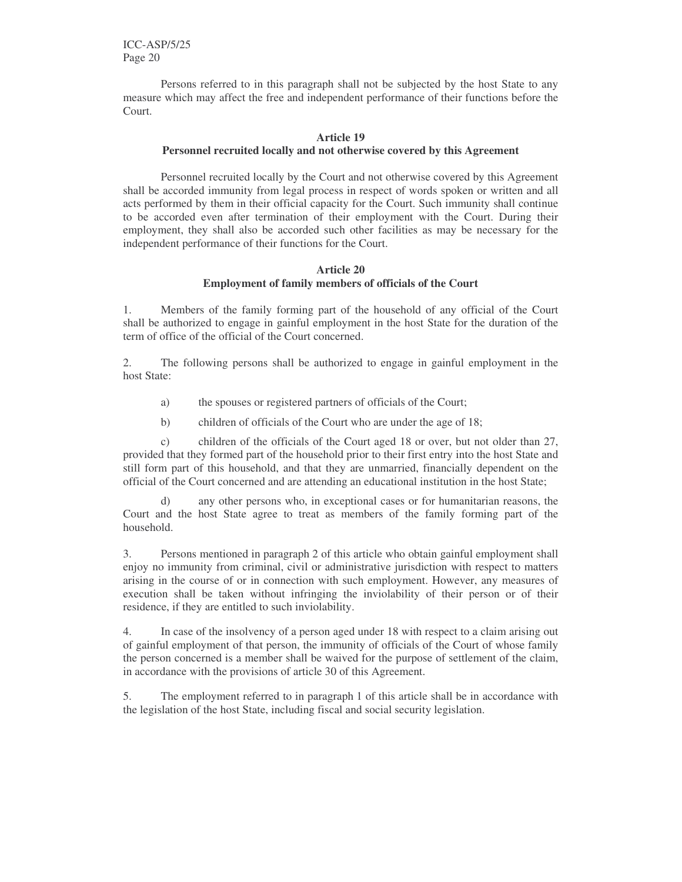ICC-ASP/5/25 Page 20

Persons referred to in this paragraph shall not be subjected by the host State to any measure which may affect the free and independent performance of their functions before the Court.

#### **Article 19**

#### **Personnel recruited locally and not otherwise covered by this Agreement**

Personnel recruited locally by the Court and not otherwise covered by this Agreement shall be accorded immunity from legal process in respect of words spoken or written and all acts performed by them in their official capacity for the Court. Such immunity shall continue to be accorded even after termination of their employment with the Court. During their employment, they shall also be accorded such other facilities as may be necessary for the independent performance of their functions for the Court.

#### **Article 20 Employment of family members of officials of the Court**

1. Members of the family forming part of the household of any official of the Court shall be authorized to engage in gainful employment in the host State for the duration of the term of office of the official of the Court concerned.

2. The following persons shall be authorized to engage in gainful employment in the host State:

- a) the spouses or registered partners of officials of the Court;
- b) children of officials of the Court who are under the age of 18;

c) children of the officials of the Court aged 18 or over, but not older than 27, provided that they formed part of the household prior to their first entry into the host State and still form part of this household, and that they are unmarried, financially dependent on the official of the Court concerned and are attending an educational institution in the host State;

d) any other persons who, in exceptional cases or for humanitarian reasons, the Court and the host State agree to treat as members of the family forming part of the household.

3. Persons mentioned in paragraph 2 of this article who obtain gainful employment shall enjoy no immunity from criminal, civil or administrative jurisdiction with respect to matters arising in the course of or in connection with such employment. However, any measures of execution shall be taken without infringing the inviolability of their person or of their residence, if they are entitled to such inviolability.

4. In case of the insolvency of a person aged under 18 with respect to a claim arising out of gainful employment of that person, the immunity of officials of the Court of whose family the person concerned is a member shall be waived for the purpose of settlement of the claim, in accordance with the provisions of article 30 of this Agreement.

5. The employment referred to in paragraph 1 of this article shall be in accordance with the legislation of the host State, including fiscal and social security legislation.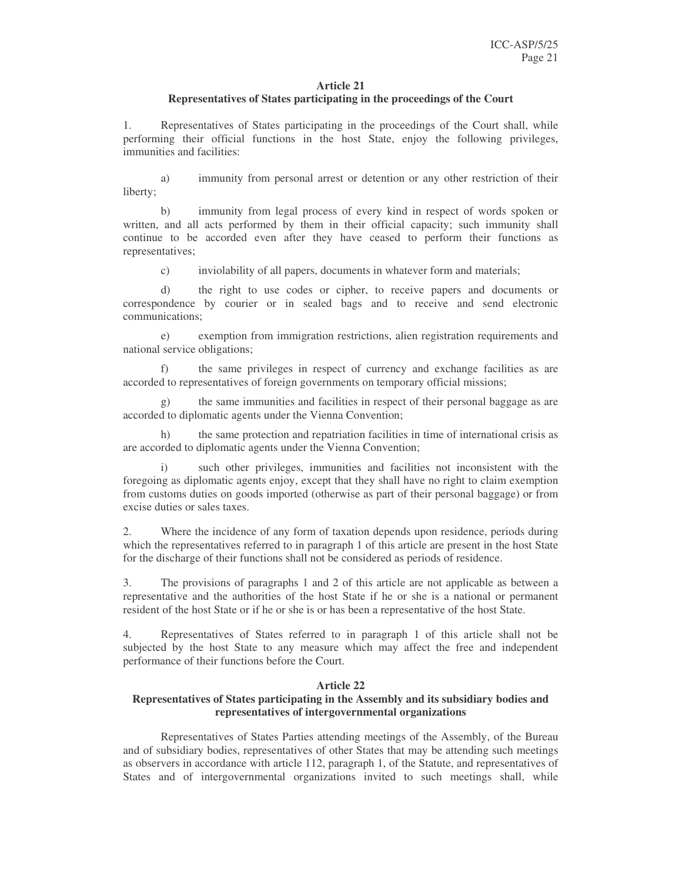#### **Article 21**

# **Representatives of States participating in the proceedings of the Court**

1. Representatives of States participating in the proceedings of the Court shall, while performing their official functions in the host State, enjoy the following privileges, immunities and facilities:

a) immunity from personal arrest or detention or any other restriction of their liberty;

b) immunity from legal process of every kind in respect of words spoken or written, and all acts performed by them in their official capacity; such immunity shall continue to be accorded even after they have ceased to perform their functions as representatives;

c) inviolability of all papers, documents in whatever form and materials;

d) the right to use codes or cipher, to receive papers and documents or correspondence by courier or in sealed bags and to receive and send electronic communications;

e) exemption from immigration restrictions, alien registration requirements and national service obligations;

the same privileges in respect of currency and exchange facilities as are accorded to representatives of foreign governments on temporary official missions;

g) the same immunities and facilities in respect of their personal baggage as are accorded to diplomatic agents under the Vienna Convention;

h) the same protection and repatriation facilities in time of international crisis as are accorded to diplomatic agents under the Vienna Convention;

such other privileges, immunities and facilities not inconsistent with the foregoing as diplomatic agents enjoy, except that they shall have no right to claim exemption from customs duties on goods imported (otherwise as part of their personal baggage) or from excise duties or sales taxes.

2. Where the incidence of any form of taxation depends upon residence, periods during which the representatives referred to in paragraph 1 of this article are present in the host State for the discharge of their functions shall not be considered as periods of residence.

3. The provisions of paragraphs 1 and 2 of this article are not applicable as between a representative and the authorities of the host State if he or she is a national or permanent resident of the host State or if he or she is or has been a representative of the host State.

4. Representatives of States referred to in paragraph 1 of this article shall not be subjected by the host State to any measure which may affect the free and independent performance of their functions before the Court.

# **Article 22**

## **Representatives of States participating in the Assembly and its subsidiary bodies and representatives of intergovernmental organizations**

Representatives of States Parties attending meetings of the Assembly, of the Bureau and of subsidiary bodies, representatives of other States that may be attending such meetings as observers in accordance with article 112, paragraph 1, of the Statute, and representatives of States and of intergovernmental organizations invited to such meetings shall, while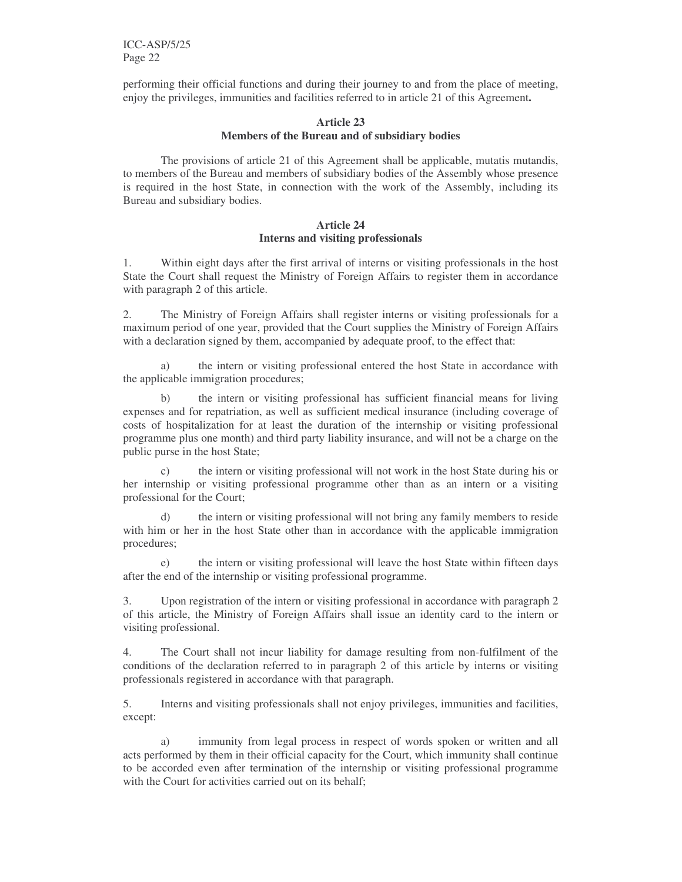ICC-ASP/5/25 Page 22

performing their official functions and during their journey to and from the place of meeting, enjoy the privileges, immunities and facilities referred to in article 21 of this Agreement**.**

#### **Article 23 Members of the Bureau and of subsidiary bodies**

The provisions of article 21 of this Agreement shall be applicable, mutatis mutandis, to members of the Bureau and members of subsidiary bodies of the Assembly whose presence is required in the host State, in connection with the work of the Assembly, including its Bureau and subsidiary bodies.

#### **Article 24 Interns and visiting professionals**

1. Within eight days after the first arrival of interns or visiting professionals in the host State the Court shall request the Ministry of Foreign Affairs to register them in accordance with paragraph 2 of this article.

2. The Ministry of Foreign Affairs shall register interns or visiting professionals for a maximum period of one year, provided that the Court supplies the Ministry of Foreign Affairs with a declaration signed by them, accompanied by adequate proof, to the effect that:

a) the intern or visiting professional entered the host State in accordance with the applicable immigration procedures;

b) the intern or visiting professional has sufficient financial means for living expenses and for repatriation, as well as sufficient medical insurance (including coverage of costs of hospitalization for at least the duration of the internship or visiting professional programme plus one month) and third party liability insurance, and will not be a charge on the public purse in the host State;

c) the intern or visiting professional will not work in the host State during his or her internship or visiting professional programme other than as an intern or a visiting professional for the Court;

d) the intern or visiting professional will not bring any family members to reside with him or her in the host State other than in accordance with the applicable immigration procedures;

the intern or visiting professional will leave the host State within fifteen days after the end of the internship or visiting professional programme.

3. Upon registration of the intern or visiting professional in accordance with paragraph 2 of this article, the Ministry of Foreign Affairs shall issue an identity card to the intern or visiting professional.

4. The Court shall not incur liability for damage resulting from non-fulfilment of the conditions of the declaration referred to in paragraph 2 of this article by interns or visiting professionals registered in accordance with that paragraph.

5. Interns and visiting professionals shall not enjoy privileges, immunities and facilities, except:

a) immunity from legal process in respect of words spoken or written and all acts performed by them in their official capacity for the Court, which immunity shall continue to be accorded even after termination of the internship or visiting professional programme with the Court for activities carried out on its behalf;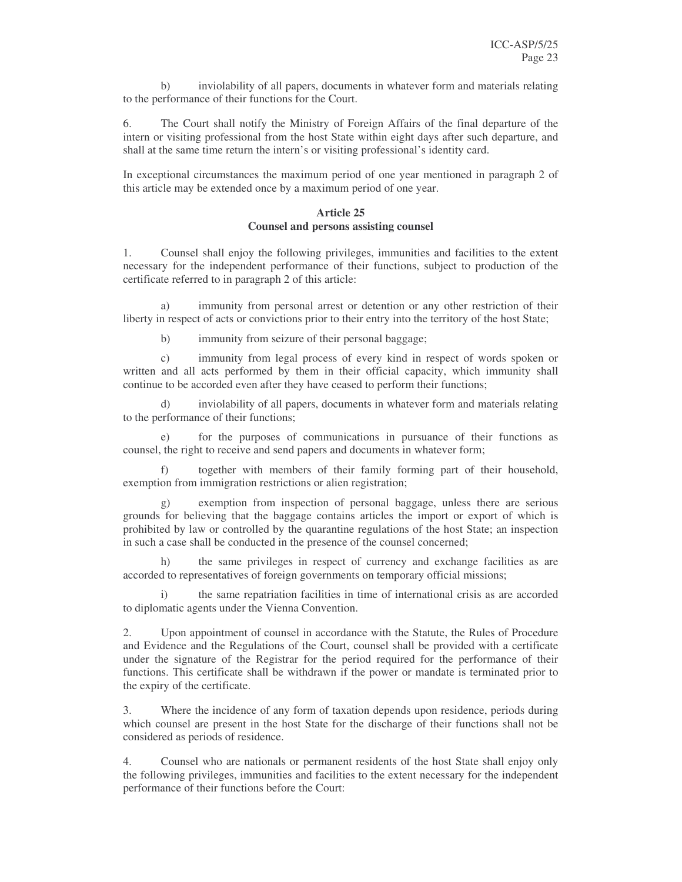b) inviolability of all papers, documents in whatever form and materials relating to the performance of their functions for the Court.

6. The Court shall notify the Ministry of Foreign Affairs of the final departure of the intern or visiting professional from the host State within eight days after such departure, and shall at the same time return the intern's or visiting professional's identity card.

In exceptional circumstances the maximum period of one year mentioned in paragraph 2 of this article may be extended once by a maximum period of one year.

#### **Article 25 Counsel and persons assisting counsel**

1. Counsel shall enjoy the following privileges, immunities and facilities to the extent necessary for the independent performance of their functions, subject to production of the certificate referred to in paragraph 2 of this article:

a) immunity from personal arrest or detention or any other restriction of their liberty in respect of acts or convictions prior to their entry into the territory of the host State;

b) immunity from seizure of their personal baggage;

c) immunity from legal process of every kind in respect of words spoken or written and all acts performed by them in their official capacity, which immunity shall continue to be accorded even after they have ceased to perform their functions;

d) inviolability of all papers, documents in whatever form and materials relating to the performance of their functions;

for the purposes of communications in pursuance of their functions as counsel, the right to receive and send papers and documents in whatever form;

f) together with members of their family forming part of their household, exemption from immigration restrictions or alien registration;

g) exemption from inspection of personal baggage, unless there are serious grounds for believing that the baggage contains articles the import or export of which is prohibited by law or controlled by the quarantine regulations of the host State; an inspection in such a case shall be conducted in the presence of the counsel concerned;

the same privileges in respect of currency and exchange facilities as are accorded to representatives of foreign governments on temporary official missions;

the same repatriation facilities in time of international crisis as are accorded to diplomatic agents under the Vienna Convention.

2. Upon appointment of counsel in accordance with the Statute, the Rules of Procedure and Evidence and the Regulations of the Court, counsel shall be provided with a certificate under the signature of the Registrar for the period required for the performance of their functions. This certificate shall be withdrawn if the power or mandate is terminated prior to the expiry of the certificate.

3. Where the incidence of any form of taxation depends upon residence, periods during which counsel are present in the host State for the discharge of their functions shall not be considered as periods of residence.

4. Counsel who are nationals or permanent residents of the host State shall enjoy only the following privileges, immunities and facilities to the extent necessary for the independent performance of their functions before the Court: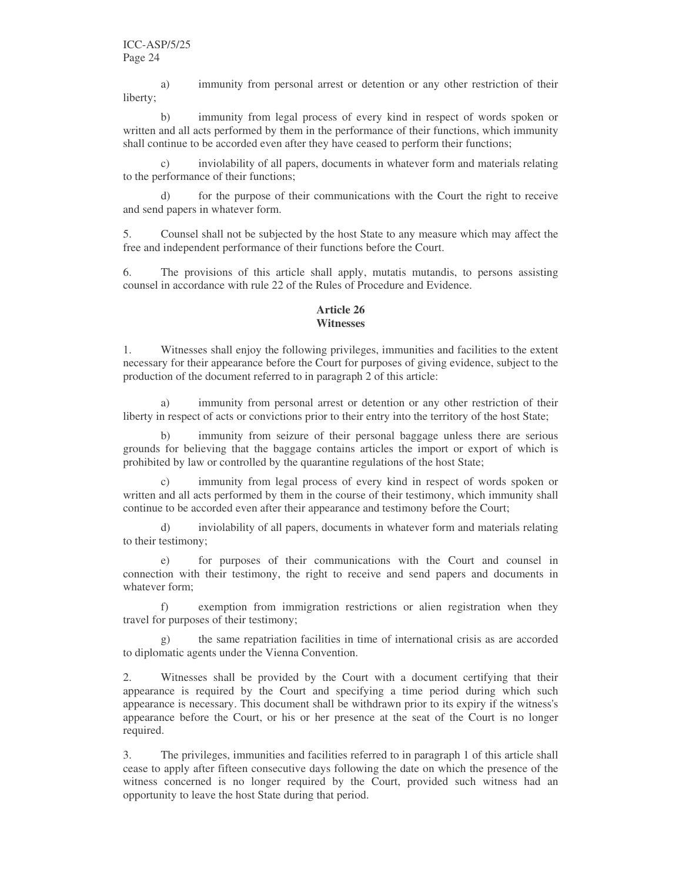a) immunity from personal arrest or detention or any other restriction of their liberty;

b) immunity from legal process of every kind in respect of words spoken or written and all acts performed by them in the performance of their functions, which immunity shall continue to be accorded even after they have ceased to perform their functions;

inviolability of all papers, documents in whatever form and materials relating to the performance of their functions;

d) for the purpose of their communications with the Court the right to receive and send papers in whatever form.

5. Counsel shall not be subjected by the host State to any measure which may affect the free and independent performance of their functions before the Court.

6. The provisions of this article shall apply, mutatis mutandis, to persons assisting counsel in accordance with rule 22 of the Rules of Procedure and Evidence.

# **Article 26 Witnesses**

1. Witnesses shall enjoy the following privileges, immunities and facilities to the extent necessary for their appearance before the Court for purposes of giving evidence, subject to the production of the document referred to in paragraph 2 of this article:

a) immunity from personal arrest or detention or any other restriction of their liberty in respect of acts or convictions prior to their entry into the territory of the host State;

b) immunity from seizure of their personal baggage unless there are serious grounds for believing that the baggage contains articles the import or export of which is prohibited by law or controlled by the quarantine regulations of the host State;

immunity from legal process of every kind in respect of words spoken or written and all acts performed by them in the course of their testimony, which immunity shall continue to be accorded even after their appearance and testimony before the Court;

d) inviolability of all papers, documents in whatever form and materials relating to their testimony;

for purposes of their communications with the Court and counsel in connection with their testimony, the right to receive and send papers and documents in whatever form;

f) exemption from immigration restrictions or alien registration when they travel for purposes of their testimony;

g) the same repatriation facilities in time of international crisis as are accorded to diplomatic agents under the Vienna Convention.

2. Witnesses shall be provided by the Court with a document certifying that their appearance is required by the Court and specifying a time period during which such appearance is necessary. This document shall be withdrawn prior to its expiry if the witness's appearance before the Court, or his or her presence at the seat of the Court is no longer required.

3. The privileges, immunities and facilities referred to in paragraph 1 of this article shall cease to apply after fifteen consecutive days following the date on which the presence of the witness concerned is no longer required by the Court, provided such witness had an opportunity to leave the host State during that period.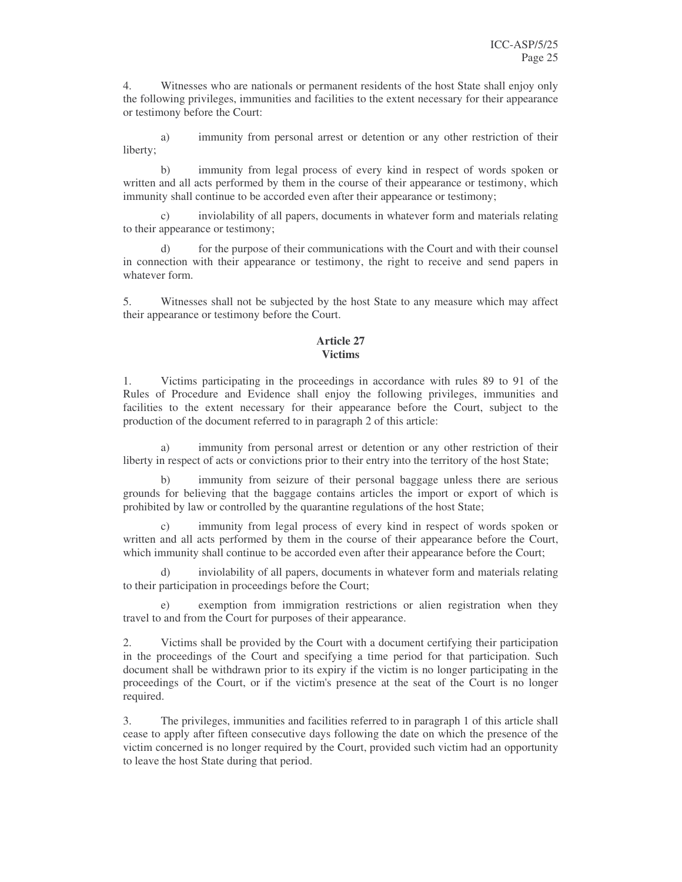4. Witnesses who are nationals or permanent residents of the host State shall enjoy only the following privileges, immunities and facilities to the extent necessary for their appearance or testimony before the Court:

a) immunity from personal arrest or detention or any other restriction of their liberty;

b) immunity from legal process of every kind in respect of words spoken or written and all acts performed by them in the course of their appearance or testimony, which immunity shall continue to be accorded even after their appearance or testimony;

c) inviolability of all papers, documents in whatever form and materials relating to their appearance or testimony;

d) for the purpose of their communications with the Court and with their counsel in connection with their appearance or testimony, the right to receive and send papers in whatever form.

5. Witnesses shall not be subjected by the host State to any measure which may affect their appearance or testimony before the Court.

## **Article 27 Victims**

1. Victims participating in the proceedings in accordance with rules 89 to 91 of the Rules of Procedure and Evidence shall enjoy the following privileges, immunities and facilities to the extent necessary for their appearance before the Court, subject to the production of the document referred to in paragraph 2 of this article:

a) immunity from personal arrest or detention or any other restriction of their liberty in respect of acts or convictions prior to their entry into the territory of the host State;

immunity from seizure of their personal baggage unless there are serious grounds for believing that the baggage contains articles the import or export of which is prohibited by law or controlled by the quarantine regulations of the host State;

immunity from legal process of every kind in respect of words spoken or written and all acts performed by them in the course of their appearance before the Court, which immunity shall continue to be accorded even after their appearance before the Court;

d) inviolability of all papers, documents in whatever form and materials relating to their participation in proceedings before the Court;

exemption from immigration restrictions or alien registration when they travel to and from the Court for purposes of their appearance.

2. Victims shall be provided by the Court with a document certifying their participation in the proceedings of the Court and specifying a time period for that participation. Such document shall be withdrawn prior to its expiry if the victim is no longer participating in the proceedings of the Court, or if the victim's presence at the seat of the Court is no longer required.

3. The privileges, immunities and facilities referred to in paragraph 1 of this article shall cease to apply after fifteen consecutive days following the date on which the presence of the victim concerned is no longer required by the Court, provided such victim had an opportunity to leave the host State during that period.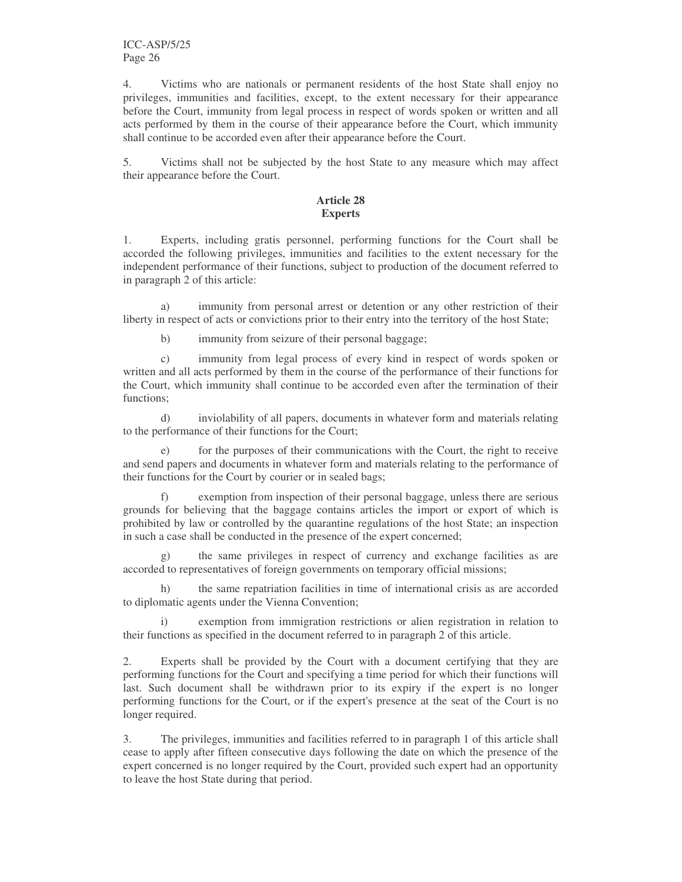4. Victims who are nationals or permanent residents of the host State shall enjoy no privileges, immunities and facilities, except, to the extent necessary for their appearance before the Court, immunity from legal process in respect of words spoken or written and all acts performed by them in the course of their appearance before the Court, which immunity shall continue to be accorded even after their appearance before the Court.

5. Victims shall not be subjected by the host State to any measure which may affect their appearance before the Court.

# **Article 28 Experts**

1. Experts, including gratis personnel, performing functions for the Court shall be accorded the following privileges, immunities and facilities to the extent necessary for the independent performance of their functions, subject to production of the document referred to in paragraph 2 of this article:

a) immunity from personal arrest or detention or any other restriction of their liberty in respect of acts or convictions prior to their entry into the territory of the host State;

b) immunity from seizure of their personal baggage;

c) immunity from legal process of every kind in respect of words spoken or written and all acts performed by them in the course of the performance of their functions for the Court, which immunity shall continue to be accorded even after the termination of their functions;

d) inviolability of all papers, documents in whatever form and materials relating to the performance of their functions for the Court;

e) for the purposes of their communications with the Court, the right to receive and send papers and documents in whatever form and materials relating to the performance of their functions for the Court by courier or in sealed bags;

f) exemption from inspection of their personal baggage, unless there are serious grounds for believing that the baggage contains articles the import or export of which is prohibited by law or controlled by the quarantine regulations of the host State; an inspection in such a case shall be conducted in the presence of the expert concerned;

g) the same privileges in respect of currency and exchange facilities as are accorded to representatives of foreign governments on temporary official missions;

h) the same repatriation facilities in time of international crisis as are accorded to diplomatic agents under the Vienna Convention;

i) exemption from immigration restrictions or alien registration in relation to their functions as specified in the document referred to in paragraph 2 of this article.

2. Experts shall be provided by the Court with a document certifying that they are performing functions for the Court and specifying a time period for which their functions will last. Such document shall be withdrawn prior to its expiry if the expert is no longer performing functions for the Court, or if the expert's presence at the seat of the Court is no longer required.

3. The privileges, immunities and facilities referred to in paragraph 1 of this article shall cease to apply after fifteen consecutive days following the date on which the presence of the expert concerned is no longer required by the Court, provided such expert had an opportunity to leave the host State during that period.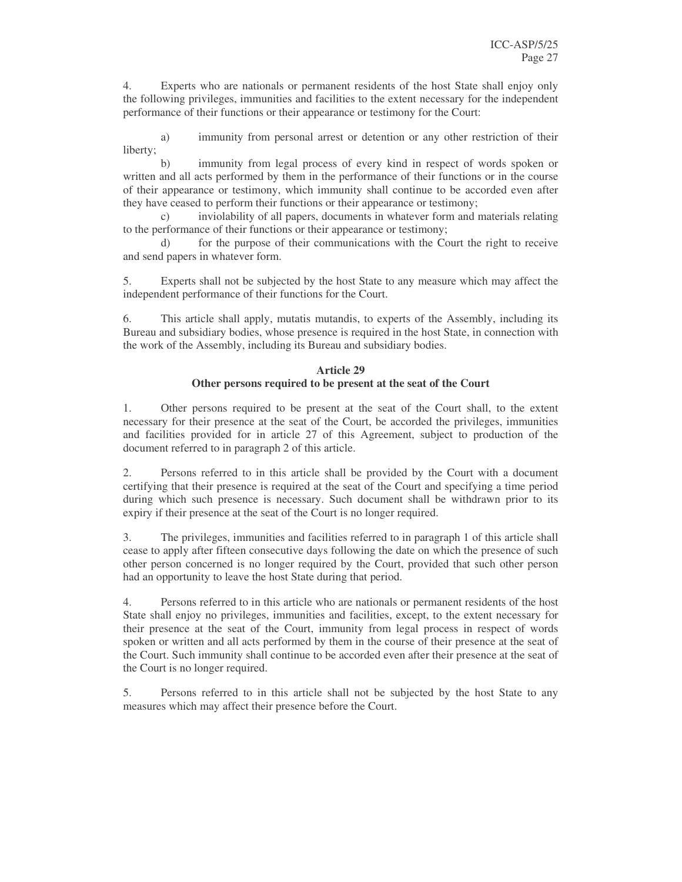4. Experts who are nationals or permanent residents of the host State shall enjoy only the following privileges, immunities and facilities to the extent necessary for the independent performance of their functions or their appearance or testimony for the Court:

a) immunity from personal arrest or detention or any other restriction of their liberty;

b) immunity from legal process of every kind in respect of words spoken or written and all acts performed by them in the performance of their functions or in the course of their appearance or testimony, which immunity shall continue to be accorded even after they have ceased to perform their functions or their appearance or testimony;

inviolability of all papers, documents in whatever form and materials relating to the performance of their functions or their appearance or testimony;

d) for the purpose of their communications with the Court the right to receive and send papers in whatever form.

5. Experts shall not be subjected by the host State to any measure which may affect the independent performance of their functions for the Court.

6. This article shall apply, mutatis mutandis, to experts of the Assembly, including its Bureau and subsidiary bodies, whose presence is required in the host State, in connection with the work of the Assembly, including its Bureau and subsidiary bodies.

## **Article 29 Other persons required to be present at the seat of the Court**

1. Other persons required to be present at the seat of the Court shall, to the extent necessary for their presence at the seat of the Court, be accorded the privileges, immunities and facilities provided for in article 27 of this Agreement, subject to production of the document referred to in paragraph 2 of this article.

2. Persons referred to in this article shall be provided by the Court with a document certifying that their presence is required at the seat of the Court and specifying a time period during which such presence is necessary. Such document shall be withdrawn prior to its expiry if their presence at the seat of the Court is no longer required.

3. The privileges, immunities and facilities referred to in paragraph 1 of this article shall cease to apply after fifteen consecutive days following the date on which the presence of such other person concerned is no longer required by the Court, provided that such other person had an opportunity to leave the host State during that period.

4. Persons referred to in this article who are nationals or permanent residents of the host State shall enjoy no privileges, immunities and facilities, except, to the extent necessary for their presence at the seat of the Court, immunity from legal process in respect of words spoken or written and all acts performed by them in the course of their presence at the seat of the Court. Such immunity shall continue to be accorded even after their presence at the seat of the Court is no longer required.

5. Persons referred to in this article shall not be subjected by the host State to any measures which may affect their presence before the Court.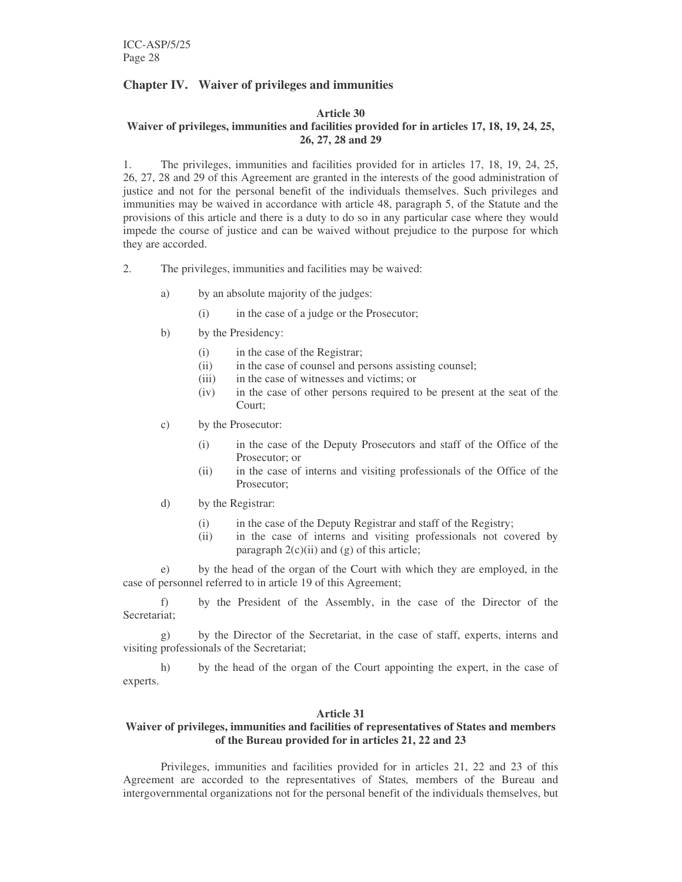# **Chapter IV. Waiver of privileges and immunities**

# **Article 30**

#### **Waiver of privileges, immunities and facilities provided for in articles 17, 18, 19, 24, 25, 26, 27, 28 and 29**

1. The privileges, immunities and facilities provided for in articles 17, 18, 19, 24, 25, 26, 27, 28 and 29 of this Agreement are granted in the interests of the good administration of justice and not for the personal benefit of the individuals themselves. Such privileges and immunities may be waived in accordance with article 48, paragraph 5, of the Statute and the provisions of this article and there is a duty to do so in any particular case where they would impede the course of justice and can be waived without prejudice to the purpose for which they are accorded.

- 2. The privileges, immunities and facilities may be waived:
	- a) by an absolute majority of the judges:
		- (i) in the case of a judge or the Prosecutor;
	- b) by the Presidency:
		- (i) in the case of the Registrar;
		- (ii) in the case of counsel and persons assisting counsel;
		- (iii) in the case of witnesses and victims; or
		- (iv) in the case of other persons required to be present at the seat of the Court;
	- c) by the Prosecutor:
		- (i) in the case of the Deputy Prosecutors and staff of the Office of the Prosecutor; or
		- (ii) in the case of interns and visiting professionals of the Office of the Prosecutor;
	- d) by the Registrar:
		- (i) in the case of the Deputy Registrar and staff of the Registry;
		- (ii) in the case of interns and visiting professionals not covered by paragraph  $2(c)(ii)$  and  $(g)$  of this article;

e) by the head of the organ of the Court with which they are employed, in the case of personnel referred to in article 19 of this Agreement;

f) by the President of the Assembly, in the case of the Director of the Secretariat;

g) by the Director of the Secretariat, in the case of staff, experts, interns and visiting professionals of the Secretariat;

h) by the head of the organ of the Court appointing the expert, in the case of experts.

## **Article 31**

# **Waiver of privileges, immunities and facilities of representatives of States and members of the Bureau provided for in articles 21, 22 and 23**

Privileges, immunities and facilities provided for in articles 21, 22 and 23 of this Agreement are accorded to the representatives of States*,* members of the Bureau and intergovernmental organizations not for the personal benefit of the individuals themselves, but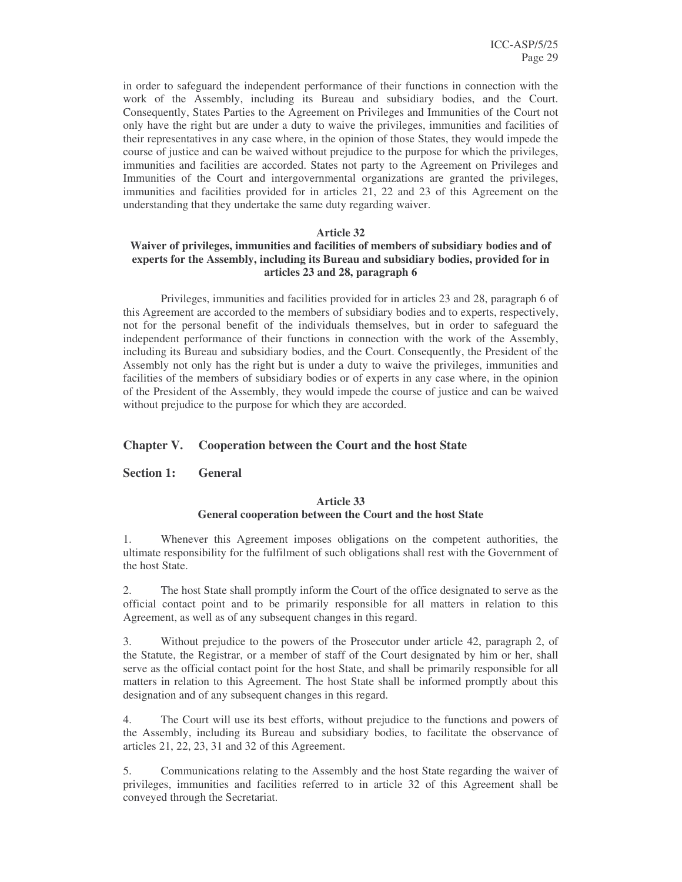in order to safeguard the independent performance of their functions in connection with the work of the Assembly, including its Bureau and subsidiary bodies, and the Court. Consequently, States Parties to the Agreement on Privileges and Immunities of the Court not only have the right but are under a duty to waive the privileges, immunities and facilities of their representatives in any case where, in the opinion of those States, they would impede the course of justice and can be waived without prejudice to the purpose for which the privileges, immunities and facilities are accorded. States not party to the Agreement on Privileges and Immunities of the Court and intergovernmental organizations are granted the privileges, immunities and facilities provided for in articles 21, 22 and 23 of this Agreement on the understanding that they undertake the same duty regarding waiver.

#### **Article 32**

# **Waiver of privileges, immunities and facilities of members of subsidiary bodies and of experts for the Assembly, including its Bureau and subsidiary bodies, provided for in articles 23 and 28, paragraph 6**

Privileges, immunities and facilities provided for in articles 23 and 28, paragraph 6 of this Agreement are accorded to the members of subsidiary bodies and to experts, respectively, not for the personal benefit of the individuals themselves, but in order to safeguard the independent performance of their functions in connection with the work of the Assembly, including its Bureau and subsidiary bodies, and the Court. Consequently, the President of the Assembly not only has the right but is under a duty to waive the privileges, immunities and facilities of the members of subsidiary bodies or of experts in any case where, in the opinion of the President of the Assembly, they would impede the course of justice and can be waived without prejudice to the purpose for which they are accorded.

## **Chapter V. Cooperation between the Court and the host State**

**Section 1: General**

# **Article 33 General cooperation between the Court and the host State**

1. Whenever this Agreement imposes obligations on the competent authorities, the ultimate responsibility for the fulfilment of such obligations shall rest with the Government of the host State.

2. The host State shall promptly inform the Court of the office designated to serve as the official contact point and to be primarily responsible for all matters in relation to this Agreement, as well as of any subsequent changes in this regard.

3. Without prejudice to the powers of the Prosecutor under article 42, paragraph 2, of the Statute, the Registrar, or a member of staff of the Court designated by him or her, shall serve as the official contact point for the host State, and shall be primarily responsible for all matters in relation to this Agreement. The host State shall be informed promptly about this designation and of any subsequent changes in this regard.

4. The Court will use its best efforts, without prejudice to the functions and powers of the Assembly, including its Bureau and subsidiary bodies, to facilitate the observance of articles 21, 22, 23, 31 and 32 of this Agreement.

5. Communications relating to the Assembly and the host State regarding the waiver of privileges, immunities and facilities referred to in article 32 of this Agreement shall be conveyed through the Secretariat.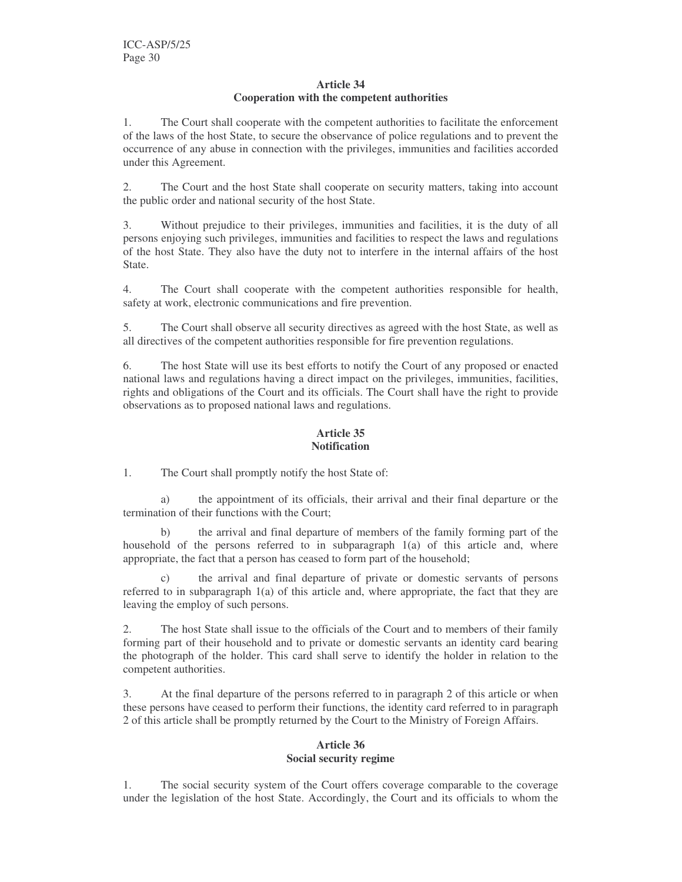#### **Article 34 Cooperation with the competent authorities**

1. The Court shall cooperate with the competent authorities to facilitate the enforcement of the laws of the host State, to secure the observance of police regulations and to prevent the occurrence of any abuse in connection with the privileges, immunities and facilities accorded under this Agreement.

2. The Court and the host State shall cooperate on security matters, taking into account the public order and national security of the host State.

3. Without prejudice to their privileges, immunities and facilities, it is the duty of all persons enjoying such privileges, immunities and facilities to respect the laws and regulations of the host State. They also have the duty not to interfere in the internal affairs of the host State.

4. The Court shall cooperate with the competent authorities responsible for health, safety at work, electronic communications and fire prevention.

5. The Court shall observe all security directives as agreed with the host State, as well as all directives of the competent authorities responsible for fire prevention regulations.

6. The host State will use its best efforts to notify the Court of any proposed or enacted national laws and regulations having a direct impact on the privileges, immunities, facilities, rights and obligations of the Court and its officials. The Court shall have the right to provide observations as to proposed national laws and regulations.

# **Article 35 Notification**

1. The Court shall promptly notify the host State of:

a) the appointment of its officials, their arrival and their final departure or the termination of their functions with the Court;

b) the arrival and final departure of members of the family forming part of the household of the persons referred to in subparagraph 1(a) of this article and, where appropriate, the fact that a person has ceased to form part of the household;

c) the arrival and final departure of private or domestic servants of persons referred to in subparagraph 1(a) of this article and, where appropriate, the fact that they are leaving the employ of such persons.

2. The host State shall issue to the officials of the Court and to members of their family forming part of their household and to private or domestic servants an identity card bearing the photograph of the holder. This card shall serve to identify the holder in relation to the competent authorities.

3. At the final departure of the persons referred to in paragraph 2 of this article or when these persons have ceased to perform their functions, the identity card referred to in paragraph 2 of this article shall be promptly returned by the Court to the Ministry of Foreign Affairs.

## **Article 36 Social security regime**

1. The social security system of the Court offers coverage comparable to the coverage under the legislation of the host State. Accordingly, the Court and its officials to whom the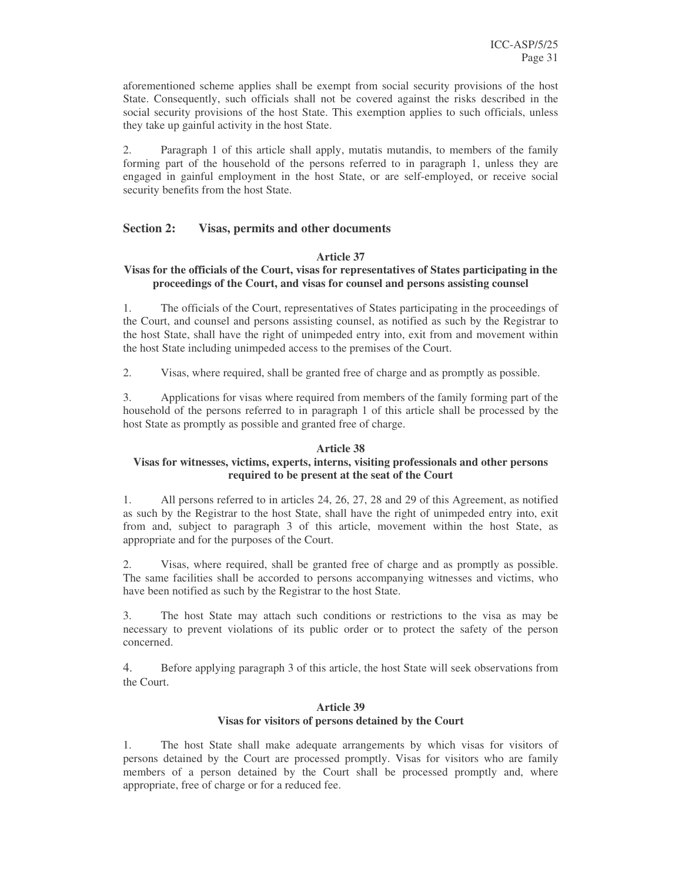aforementioned scheme applies shall be exempt from social security provisions of the host State. Consequently, such officials shall not be covered against the risks described in the social security provisions of the host State. This exemption applies to such officials, unless they take up gainful activity in the host State.

2. Paragraph 1 of this article shall apply, mutatis mutandis, to members of the family forming part of the household of the persons referred to in paragraph 1, unless they are engaged in gainful employment in the host State, or are self-employed, or receive social security benefits from the host State.

# **Section 2: Visas, permits and other documents**

#### **Article 37**

#### **Visas for the officials of the Court, visas for representatives of States participating in the proceedings of the Court, and visas for counsel and persons assisting counsel**

1. The officials of the Court, representatives of States participating in the proceedings of the Court, and counsel and persons assisting counsel, as notified as such by the Registrar to the host State, shall have the right of unimpeded entry into, exit from and movement within the host State including unimpeded access to the premises of the Court.

2. Visas, where required, shall be granted free of charge and as promptly as possible.

3. Applications for visas where required from members of the family forming part of the household of the persons referred to in paragraph 1 of this article shall be processed by the host State as promptly as possible and granted free of charge.

## **Article 38**

# **Visas for witnesses, victims, experts, interns, visiting professionals and other persons required to be present at the seat of the Court**

1. All persons referred to in articles 24, 26, 27, 28 and 29 of this Agreement, as notified as such by the Registrar to the host State, shall have the right of unimpeded entry into, exit from and, subject to paragraph 3 of this article, movement within the host State, as appropriate and for the purposes of the Court.

2. Visas, where required, shall be granted free of charge and as promptly as possible. The same facilities shall be accorded to persons accompanying witnesses and victims, who have been notified as such by the Registrar to the host State.

3. The host State may attach such conditions or restrictions to the visa as may be necessary to prevent violations of its public order or to protect the safety of the person concerned.

4. Before applying paragraph 3 of this article, the host State will seek observations from the Court.

#### **Article 39 Visas for visitors of persons detained by the Court**

1. The host State shall make adequate arrangements by which visas for visitors of persons detained by the Court are processed promptly. Visas for visitors who are family members of a person detained by the Court shall be processed promptly and, where appropriate, free of charge or for a reduced fee.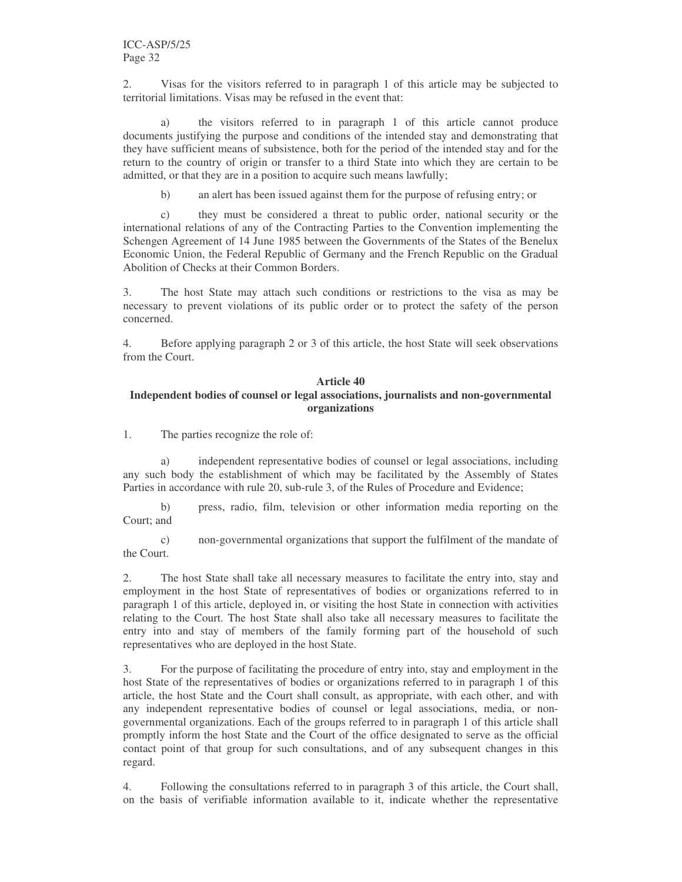2. Visas for the visitors referred to in paragraph 1 of this article may be subjected to territorial limitations. Visas may be refused in the event that:

a) the visitors referred to in paragraph 1 of this article cannot produce documents justifying the purpose and conditions of the intended stay and demonstrating that they have sufficient means of subsistence, both for the period of the intended stay and for the return to the country of origin or transfer to a third State into which they are certain to be admitted, or that they are in a position to acquire such means lawfully;

b) an alert has been issued against them for the purpose of refusing entry; or

c) they must be considered a threat to public order, national security or the international relations of any of the Contracting Parties to the Convention implementing the Schengen Agreement of 14 June 1985 between the Governments of the States of the Benelux Economic Union, the Federal Republic of Germany and the French Republic on the Gradual Abolition of Checks at their Common Borders.

3. The host State may attach such conditions or restrictions to the visa as may be necessary to prevent violations of its public order or to protect the safety of the person concerned.

4. Before applying paragraph 2 or 3 of this article, the host State will seek observations from the Court.

#### **Article 40 Independent bodies of counsel or legal associations, journalists and non-governmental organizations**

1. The parties recognize the role of:

a) independent representative bodies of counsel or legal associations, including any such body the establishment of which may be facilitated by the Assembly of States Parties in accordance with rule 20, sub-rule 3, of the Rules of Procedure and Evidence;

b) press, radio, film, television or other information media reporting on the Court; and

c) non-governmental organizations that support the fulfilment of the mandate of the Court.

2. The host State shall take all necessary measures to facilitate the entry into, stay and employment in the host State of representatives of bodies or organizations referred to in paragraph 1 of this article, deployed in, or visiting the host State in connection with activities relating to the Court. The host State shall also take all necessary measures to facilitate the entry into and stay of members of the family forming part of the household of such representatives who are deployed in the host State.

3. For the purpose of facilitating the procedure of entry into, stay and employment in the host State of the representatives of bodies or organizations referred to in paragraph 1 of this article, the host State and the Court shall consult, as appropriate, with each other, and with any independent representative bodies of counsel or legal associations, media, or nongovernmental organizations. Each of the groups referred to in paragraph 1 of this article shall promptly inform the host State and the Court of the office designated to serve as the official contact point of that group for such consultations, and of any subsequent changes in this regard.

4. Following the consultations referred to in paragraph 3 of this article, the Court shall, on the basis of verifiable information available to it, indicate whether the representative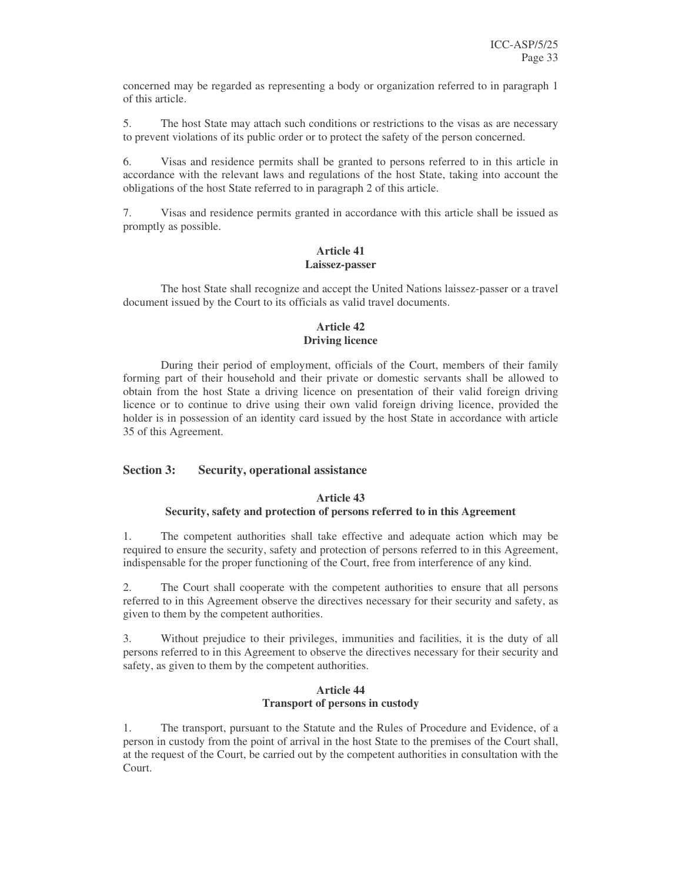concerned may be regarded as representing a body or organization referred to in paragraph 1 of this article.

5. The host State may attach such conditions or restrictions to the visas as are necessary to prevent violations of its public order or to protect the safety of the person concerned.

6. Visas and residence permits shall be granted to persons referred to in this article in accordance with the relevant laws and regulations of the host State, taking into account the obligations of the host State referred to in paragraph 2 of this article.

7. Visas and residence permits granted in accordance with this article shall be issued as promptly as possible.

# **Article 41 Laissez-passer**

The host State shall recognize and accept the United Nations laissez-passer or a travel document issued by the Court to its officials as valid travel documents.

# **Article 42 Driving licence**

During their period of employment, officials of the Court, members of their family forming part of their household and their private or domestic servants shall be allowed to obtain from the host State a driving licence on presentation of their valid foreign driving licence or to continue to drive using their own valid foreign driving licence, provided the holder is in possession of an identity card issued by the host State in accordance with article 35 of this Agreement.

## **Section 3: Security, operational assistance**

# **Article 43 Security, safety and protection of persons referred to in this Agreement**

1. The competent authorities shall take effective and adequate action which may be required to ensure the security, safety and protection of persons referred to in this Agreement, indispensable for the proper functioning of the Court, free from interference of any kind.

2. The Court shall cooperate with the competent authorities to ensure that all persons referred to in this Agreement observe the directives necessary for their security and safety, as given to them by the competent authorities.

3. Without prejudice to their privileges, immunities and facilities, it is the duty of all persons referred to in this Agreement to observe the directives necessary for their security and safety, as given to them by the competent authorities.

#### **Article 44 Transport of persons in custody**

1. The transport, pursuant to the Statute and the Rules of Procedure and Evidence, of a person in custody from the point of arrival in the host State to the premises of the Court shall, at the request of the Court, be carried out by the competent authorities in consultation with the Court.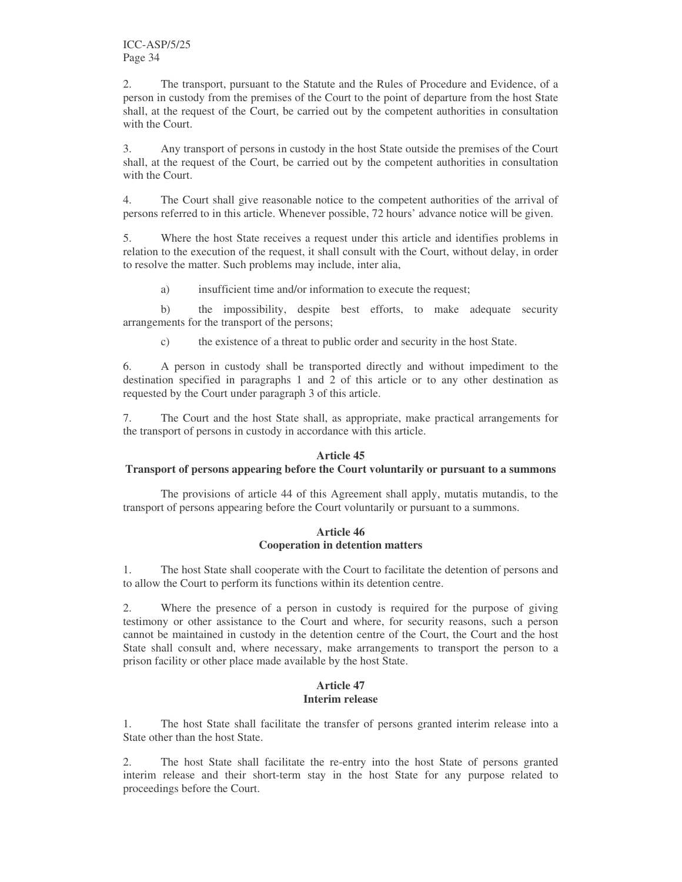2. The transport, pursuant to the Statute and the Rules of Procedure and Evidence, of a person in custody from the premises of the Court to the point of departure from the host State shall, at the request of the Court, be carried out by the competent authorities in consultation with the Court.

3. Any transport of persons in custody in the host State outside the premises of the Court shall, at the request of the Court, be carried out by the competent authorities in consultation with the Court.

4. The Court shall give reasonable notice to the competent authorities of the arrival of persons referred to in this article. Whenever possible, 72 hours' advance notice will be given.

5. Where the host State receives a request under this article and identifies problems in relation to the execution of the request, it shall consult with the Court, without delay, in order to resolve the matter. Such problems may include, inter alia,

a) insufficient time and/or information to execute the request;

b) the impossibility, despite best efforts, to make adequate security arrangements for the transport of the persons;

c) the existence of a threat to public order and security in the host State.

6. A person in custody shall be transported directly and without impediment to the destination specified in paragraphs 1 and 2 of this article or to any other destination as requested by the Court under paragraph 3 of this article.

7. The Court and the host State shall, as appropriate, make practical arrangements for the transport of persons in custody in accordance with this article.

## **Article 45**

#### **Transport of persons appearing before the Court voluntarily or pursuant to a summons**

The provisions of article 44 of this Agreement shall apply, mutatis mutandis, to the transport of persons appearing before the Court voluntarily or pursuant to a summons.

## **Article 46 Cooperation in detention matters**

1. The host State shall cooperate with the Court to facilitate the detention of persons and to allow the Court to perform its functions within its detention centre.

2. Where the presence of a person in custody is required for the purpose of giving testimony or other assistance to the Court and where, for security reasons, such a person cannot be maintained in custody in the detention centre of the Court, the Court and the host State shall consult and, where necessary, make arrangements to transport the person to a prison facility or other place made available by the host State.

# **Article 47 Interim release**

1. The host State shall facilitate the transfer of persons granted interim release into a State other than the host State.

2. The host State shall facilitate the re-entry into the host State of persons granted interim release and their short-term stay in the host State for any purpose related to proceedings before the Court.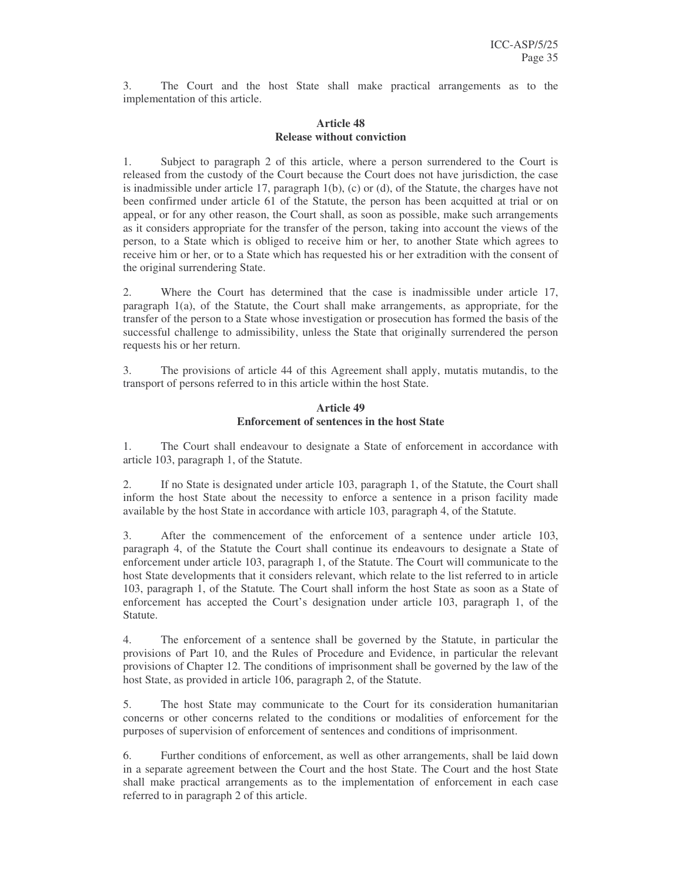3. The Court and the host State shall make practical arrangements as to the implementation of this article.

# **Article 48 Release without conviction**

1. Subject to paragraph 2 of this article, where a person surrendered to the Court is released from the custody of the Court because the Court does not have jurisdiction, the case is inadmissible under article 17, paragraph  $1(b)$ , (c) or (d), of the Statute, the charges have not been confirmed under article 61 of the Statute, the person has been acquitted at trial or on appeal, or for any other reason, the Court shall, as soon as possible, make such arrangements as it considers appropriate for the transfer of the person, taking into account the views of the person, to a State which is obliged to receive him or her, to another State which agrees to receive him or her, or to a State which has requested his or her extradition with the consent of the original surrendering State.

2. Where the Court has determined that the case is inadmissible under article 17, paragraph 1(a), of the Statute, the Court shall make arrangements, as appropriate, for the transfer of the person to a State whose investigation or prosecution has formed the basis of the successful challenge to admissibility, unless the State that originally surrendered the person requests his or her return.

3. The provisions of article 44 of this Agreement shall apply, mutatis mutandis, to the transport of persons referred to in this article within the host State.

#### **Article 49 Enforcement of sentences in the host State**

1. The Court shall endeavour to designate a State of enforcement in accordance with article 103, paragraph 1, of the Statute.

2. If no State is designated under article 103, paragraph 1, of the Statute, the Court shall inform the host State about the necessity to enforce a sentence in a prison facility made available by the host State in accordance with article 103, paragraph 4, of the Statute.

3. After the commencement of the enforcement of a sentence under article 103, paragraph 4, of the Statute the Court shall continue its endeavours to designate a State of enforcement under article 103, paragraph 1, of the Statute. The Court will communicate to the host State developments that it considers relevant, which relate to the list referred to in article 103, paragraph 1, of the Statute*.* The Court shall inform the host State as soon as a State of enforcement has accepted the Court's designation under article 103, paragraph 1, of the Statute.

4. The enforcement of a sentence shall be governed by the Statute, in particular the provisions of Part 10, and the Rules of Procedure and Evidence, in particular the relevant provisions of Chapter 12. The conditions of imprisonment shall be governed by the law of the host State, as provided in article 106, paragraph 2, of the Statute.

5. The host State may communicate to the Court for its consideration humanitarian concerns or other concerns related to the conditions or modalities of enforcement for the purposes of supervision of enforcement of sentences and conditions of imprisonment.

6. Further conditions of enforcement, as well as other arrangements, shall be laid down in a separate agreement between the Court and the host State. The Court and the host State shall make practical arrangements as to the implementation of enforcement in each case referred to in paragraph 2 of this article.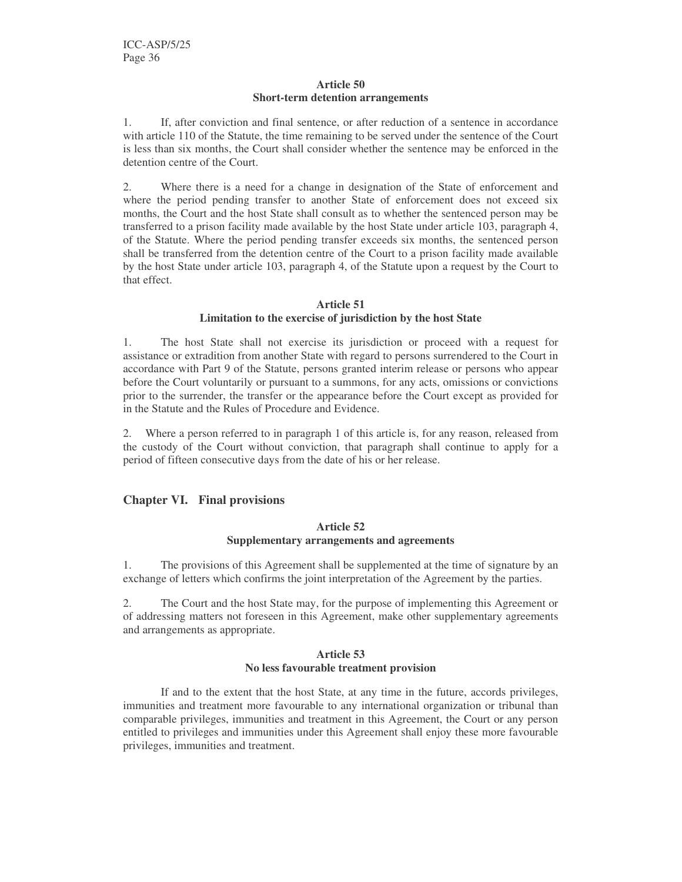#### **Article 50 Short-term detention arrangements**

1. If, after conviction and final sentence, or after reduction of a sentence in accordance with article 110 of the Statute, the time remaining to be served under the sentence of the Court is less than six months, the Court shall consider whether the sentence may be enforced in the detention centre of the Court.

2. Where there is a need for a change in designation of the State of enforcement and where the period pending transfer to another State of enforcement does not exceed six months, the Court and the host State shall consult as to whether the sentenced person may be transferred to a prison facility made available by the host State under article 103, paragraph 4, of the Statute. Where the period pending transfer exceeds six months, the sentenced person shall be transferred from the detention centre of the Court to a prison facility made available by the host State under article 103, paragraph 4, of the Statute upon a request by the Court to that effect.

# **Article 51**

# **Limitation to the exercise of jurisdiction by the host State**

1. The host State shall not exercise its jurisdiction or proceed with a request for assistance or extradition from another State with regard to persons surrendered to the Court in accordance with Part 9 of the Statute, persons granted interim release or persons who appear before the Court voluntarily or pursuant to a summons, for any acts, omissions or convictions prior to the surrender, the transfer or the appearance before the Court except as provided for in the Statute and the Rules of Procedure and Evidence.

2. Where a person referred to in paragraph 1 of this article is, for any reason, released from the custody of the Court without conviction, that paragraph shall continue to apply for a period of fifteen consecutive days from the date of his or her release.

# **Chapter VI. Final provisions**

#### **Article 52 Supplementary arrangements and agreements**

1. The provisions of this Agreement shall be supplemented at the time of signature by an exchange of letters which confirms the joint interpretation of the Agreement by the parties.

2. The Court and the host State may, for the purpose of implementing this Agreement or of addressing matters not foreseen in this Agreement, make other supplementary agreements and arrangements as appropriate.

#### **Article 53 No less favourable treatment provision**

If and to the extent that the host State, at any time in the future, accords privileges, immunities and treatment more favourable to any international organization or tribunal than comparable privileges, immunities and treatment in this Agreement, the Court or any person entitled to privileges and immunities under this Agreement shall enjoy these more favourable privileges, immunities and treatment.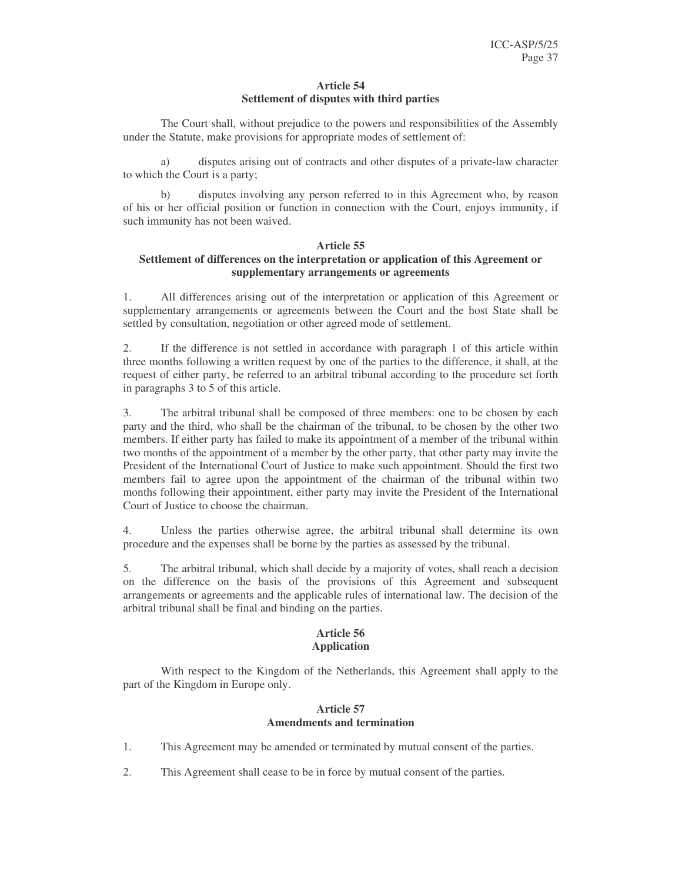#### **Article 54 Settlement of disputes with third parties**

The Court shall, without prejudice to the powers and responsibilities of the Assembly under the Statute, make provisions for appropriate modes of settlement of:

a) disputes arising out of contracts and other disputes of a private-law character to which the Court is a party;

b) disputes involving any person referred to in this Agreement who, by reason of his or her official position or function in connection with the Court, enjoys immunity, if such immunity has not been waived.

# **Article 55**

# **Settlement of differences on the interpretation or application of this Agreement or supplementary arrangements or agreements**

1. All differences arising out of the interpretation or application of this Agreement or supplementary arrangements or agreements between the Court and the host State shall be settled by consultation, negotiation or other agreed mode of settlement.

2. If the difference is not settled in accordance with paragraph 1 of this article within three months following a written request by one of the parties to the difference, it shall, at the request of either party, be referred to an arbitral tribunal according to the procedure set forth in paragraphs 3 to 5 of this article.

3. The arbitral tribunal shall be composed of three members: one to be chosen by each party and the third, who shall be the chairman of the tribunal, to be chosen by the other two members. If either party has failed to make its appointment of a member of the tribunal within two months of the appointment of a member by the other party, that other party may invite the President of the International Court of Justice to make such appointment. Should the first two members fail to agree upon the appointment of the chairman of the tribunal within two months following their appointment, either party may invite the President of the International Court of Justice to choose the chairman.

4. Unless the parties otherwise agree, the arbitral tribunal shall determine its own procedure and the expenses shall be borne by the parties as assessed by the tribunal.

5. The arbitral tribunal, which shall decide by a majority of votes, shall reach a decision on the difference on the basis of the provisions of this Agreement and subsequent arrangements or agreements and the applicable rules of international law. The decision of the arbitral tribunal shall be final and binding on the parties.

#### **Article 56 Application**

With respect to the Kingdom of the Netherlands, this Agreement shall apply to the part of the Kingdom in Europe only.

#### **Article 57 Amendments and termination**

- 1. This Agreement may be amended or terminated by mutual consent of the parties.
- 2. This Agreement shall cease to be in force by mutual consent of the parties.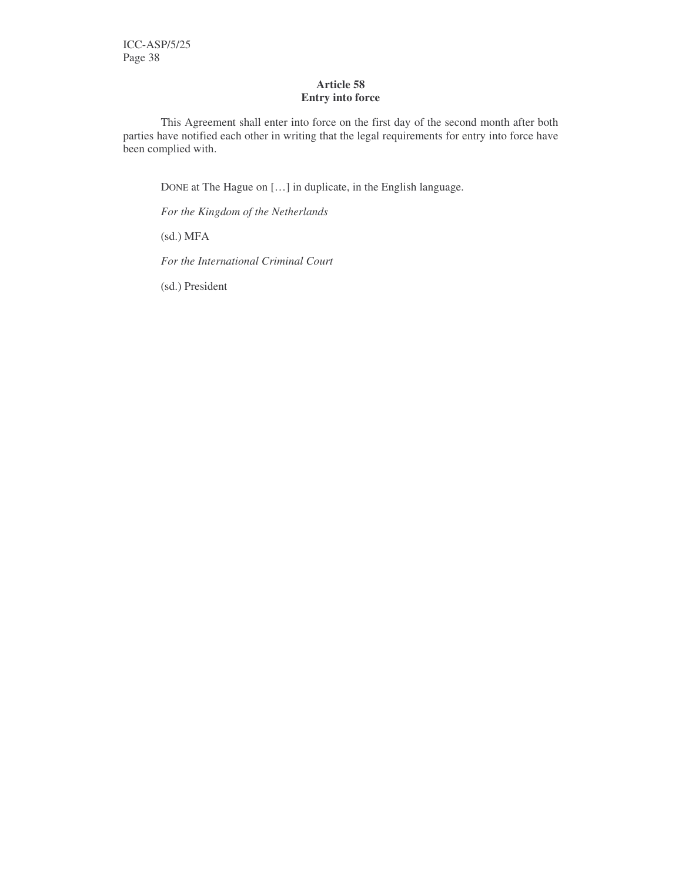# **Article 58 Entry into force**

This Agreement shall enter into force on the first day of the second month after both parties have notified each other in writing that the legal requirements for entry into force have been complied with.

DONE at The Hague on […] in duplicate, in the English language.

*For the Kingdom of the Netherlands*

(sd.) MFA

*For the International Criminal Court*

(sd.) President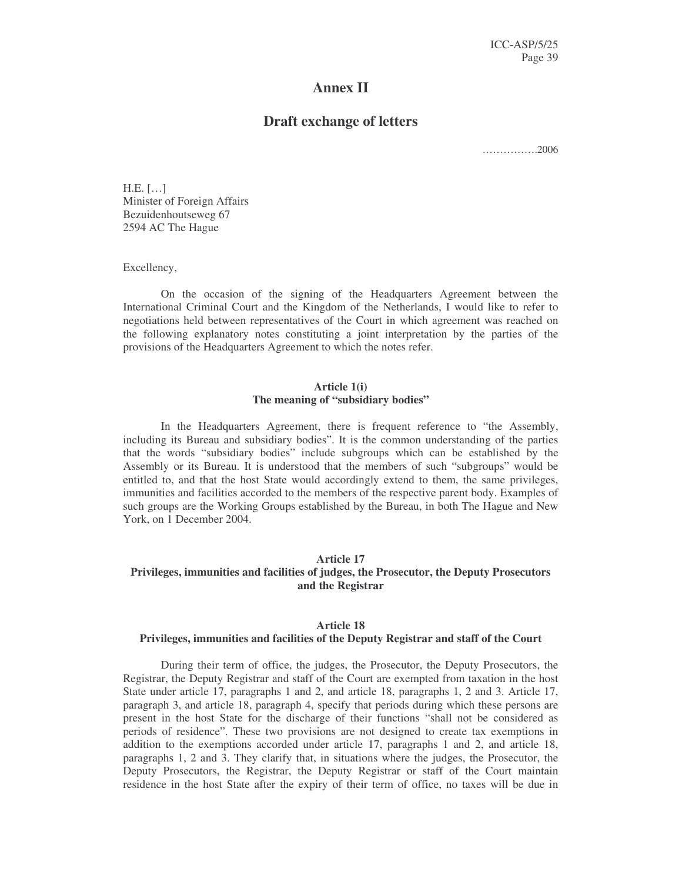# **Annex II**

# **Draft exchange of letters**

…………….2006

H.E. […] Minister of Foreign Affairs Bezuidenhoutseweg 67 2594 AC The Hague

Excellency,

On the occasion of the signing of the Headquarters Agreement between the International Criminal Court and the Kingdom of the Netherlands, I would like to refer to negotiations held between representatives of the Court in which agreement was reached on the following explanatory notes constituting a joint interpretation by the parties of the provisions of the Headquarters Agreement to which the notes refer.

#### **Article 1(i) The meaning of "subsidiary bodies"**

In the Headquarters Agreement, there is frequent reference to "the Assembly, including its Bureau and subsidiary bodies". It is the common understanding of the parties that the words "subsidiary bodies" include subgroups which can be established by the Assembly or its Bureau. It is understood that the members of such "subgroups" would be entitled to, and that the host State would accordingly extend to them, the same privileges, immunities and facilities accorded to the members of the respective parent body. Examples of such groups are the Working Groups established by the Bureau, in both The Hague and New York, on 1 December 2004.

## **Article 17**

# **Privileges, immunities and facilities of judges, the Prosecutor, the Deputy Prosecutors and the Registrar**

#### **Article 18**

#### **Privileges, immunities and facilities of the Deputy Registrar and staff of the Court**

During their term of office, the judges, the Prosecutor, the Deputy Prosecutors, the Registrar, the Deputy Registrar and staff of the Court are exempted from taxation in the host State under article 17, paragraphs 1 and 2, and article 18, paragraphs 1, 2 and 3. Article 17, paragraph 3, and article 18, paragraph 4, specify that periods during which these persons are present in the host State for the discharge of their functions "shall not be considered as periods of residence". These two provisions are not designed to create tax exemptions in addition to the exemptions accorded under article 17, paragraphs 1 and 2, and article 18, paragraphs 1, 2 and 3. They clarify that, in situations where the judges, the Prosecutor, the Deputy Prosecutors, the Registrar, the Deputy Registrar or staff of the Court maintain residence in the host State after the expiry of their term of office, no taxes will be due in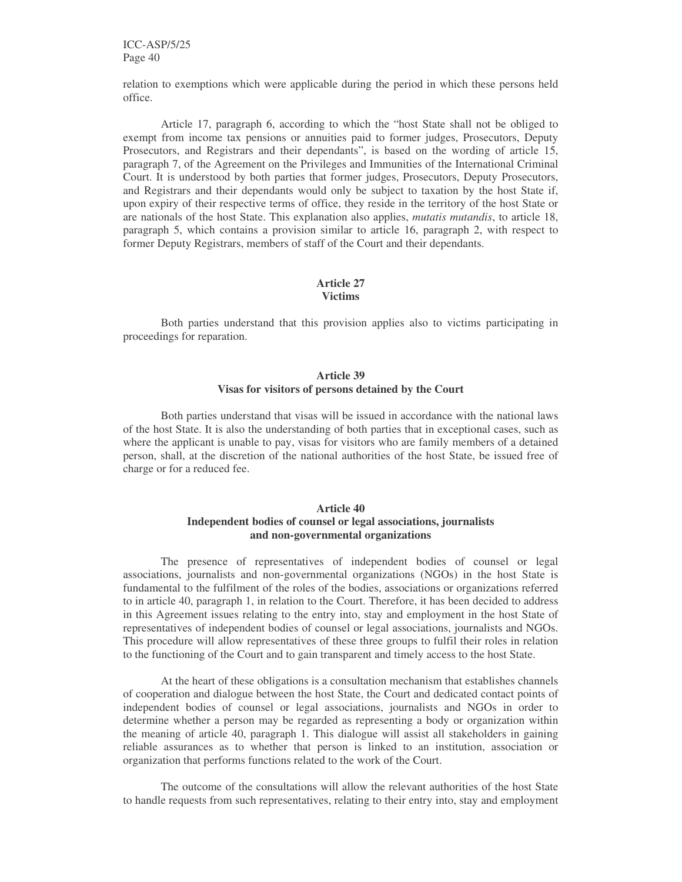ICC-ASP/5/25 Page 40

relation to exemptions which were applicable during the period in which these persons held office.

Article 17, paragraph 6, according to which the "host State shall not be obliged to exempt from income tax pensions or annuities paid to former judges, Prosecutors, Deputy Prosecutors, and Registrars and their dependants", is based on the wording of article 15, paragraph 7, of the Agreement on the Privileges and Immunities of the International Criminal Court. It is understood by both parties that former judges, Prosecutors, Deputy Prosecutors, and Registrars and their dependants would only be subject to taxation by the host State if, upon expiry of their respective terms of office, they reside in the territory of the host State or are nationals of the host State. This explanation also applies, *mutatis mutandis*, to article 18, paragraph 5, which contains a provision similar to article 16, paragraph 2, with respect to former Deputy Registrars, members of staff of the Court and their dependants.

#### **Article 27 Victims**

Both parties understand that this provision applies also to victims participating in proceedings for reparation.

#### **Article 39 Visas for visitors of persons detained by the Court**

Both parties understand that visas will be issued in accordance with the national laws of the host State. It is also the understanding of both parties that in exceptional cases, such as where the applicant is unable to pay, visas for visitors who are family members of a detained person, shall, at the discretion of the national authorities of the host State, be issued free of charge or for a reduced fee.

#### **Article 40 Independent bodies of counsel or legal associations, journalists and non-governmental organizations**

The presence of representatives of independent bodies of counsel or legal associations, journalists and non-governmental organizations (NGOs) in the host State is fundamental to the fulfilment of the roles of the bodies, associations or organizations referred to in article 40, paragraph 1, in relation to the Court. Therefore, it has been decided to address in this Agreement issues relating to the entry into, stay and employment in the host State of representatives of independent bodies of counsel or legal associations, journalists and NGOs. This procedure will allow representatives of these three groups to fulfil their roles in relation to the functioning of the Court and to gain transparent and timely access to the host State.

At the heart of these obligations is a consultation mechanism that establishes channels of cooperation and dialogue between the host State, the Court and dedicated contact points of independent bodies of counsel or legal associations, journalists and NGOs in order to determine whether a person may be regarded as representing a body or organization within the meaning of article 40, paragraph 1. This dialogue will assist all stakeholders in gaining reliable assurances as to whether that person is linked to an institution, association or organization that performs functions related to the work of the Court.

The outcome of the consultations will allow the relevant authorities of the host State to handle requests from such representatives, relating to their entry into, stay and employment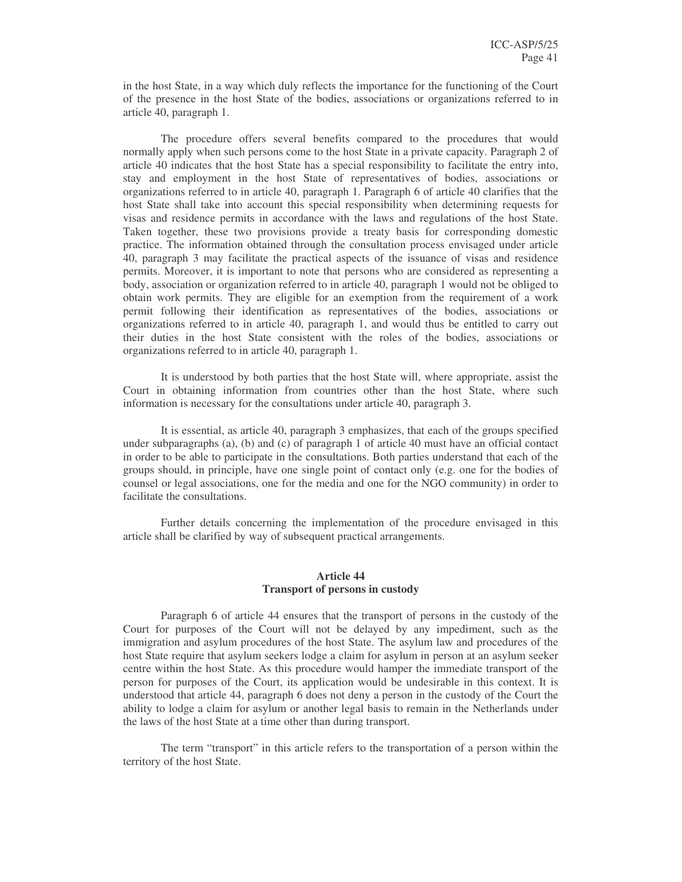in the host State, in a way which duly reflects the importance for the functioning of the Court of the presence in the host State of the bodies, associations or organizations referred to in article 40, paragraph 1.

The procedure offers several benefits compared to the procedures that would normally apply when such persons come to the host State in a private capacity. Paragraph 2 of article 40 indicates that the host State has a special responsibility to facilitate the entry into, stay and employment in the host State of representatives of bodies, associations or organizations referred to in article 40, paragraph 1. Paragraph 6 of article 40 clarifies that the host State shall take into account this special responsibility when determining requests for visas and residence permits in accordance with the laws and regulations of the host State. Taken together, these two provisions provide a treaty basis for corresponding domestic practice. The information obtained through the consultation process envisaged under article 40, paragraph 3 may facilitate the practical aspects of the issuance of visas and residence permits. Moreover, it is important to note that persons who are considered as representing a body, association or organization referred to in article 40, paragraph 1 would not be obliged to obtain work permits. They are eligible for an exemption from the requirement of a work permit following their identification as representatives of the bodies, associations or organizations referred to in article 40, paragraph 1, and would thus be entitled to carry out their duties in the host State consistent with the roles of the bodies, associations or organizations referred to in article 40, paragraph 1.

It is understood by both parties that the host State will, where appropriate, assist the Court in obtaining information from countries other than the host State, where such information is necessary for the consultations under article 40, paragraph 3.

It is essential, as article 40, paragraph 3 emphasizes, that each of the groups specified under subparagraphs (a), (b) and (c) of paragraph 1 of article 40 must have an official contact in order to be able to participate in the consultations. Both parties understand that each of the groups should, in principle, have one single point of contact only (e.g. one for the bodies of counsel or legal associations, one for the media and one for the NGO community) in order to facilitate the consultations.

Further details concerning the implementation of the procedure envisaged in this article shall be clarified by way of subsequent practical arrangements.

#### **Article 44 Transport of persons in custody**

Paragraph 6 of article 44 ensures that the transport of persons in the custody of the Court for purposes of the Court will not be delayed by any impediment, such as the immigration and asylum procedures of the host State. The asylum law and procedures of the host State require that asylum seekers lodge a claim for asylum in person at an asylum seeker centre within the host State. As this procedure would hamper the immediate transport of the person for purposes of the Court, its application would be undesirable in this context. It is understood that article 44, paragraph 6 does not deny a person in the custody of the Court the ability to lodge a claim for asylum or another legal basis to remain in the Netherlands under the laws of the host State at a time other than during transport.

The term "transport" in this article refers to the transportation of a person within the territory of the host State.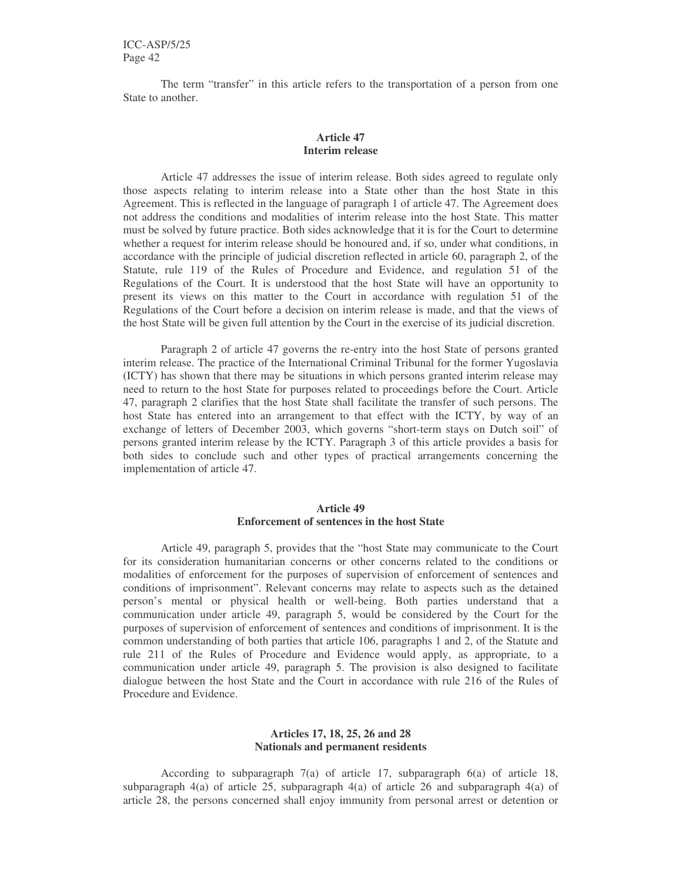ICC-ASP/5/25 Page 42

The term "transfer" in this article refers to the transportation of a person from one State to another.

#### **Article 47 Interim release**

Article 47 addresses the issue of interim release. Both sides agreed to regulate only those aspects relating to interim release into a State other than the host State in this Agreement. This is reflected in the language of paragraph 1 of article 47. The Agreement does not address the conditions and modalities of interim release into the host State. This matter must be solved by future practice. Both sides acknowledge that it is for the Court to determine whether a request for interim release should be honoured and, if so, under what conditions, in accordance with the principle of judicial discretion reflected in article 60, paragraph 2, of the Statute, rule 119 of the Rules of Procedure and Evidence, and regulation 51 of the Regulations of the Court. It is understood that the host State will have an opportunity to present its views on this matter to the Court in accordance with regulation 51 of the Regulations of the Court before a decision on interim release is made, and that the views of the host State will be given full attention by the Court in the exercise of its judicial discretion.

Paragraph 2 of article 47 governs the re-entry into the host State of persons granted interim release. The practice of the International Criminal Tribunal for the former Yugoslavia (ICTY) has shown that there may be situations in which persons granted interim release may need to return to the host State for purposes related to proceedings before the Court. Article 47, paragraph 2 clarifies that the host State shall facilitate the transfer of such persons. The host State has entered into an arrangement to that effect with the ICTY, by way of an exchange of letters of December 2003, which governs "short-term stays on Dutch soil" of persons granted interim release by the ICTY. Paragraph 3 of this article provides a basis for both sides to conclude such and other types of practical arrangements concerning the implementation of article 47.

#### **Article 49 Enforcement of sentences in the host State**

Article 49, paragraph 5, provides that the "host State may communicate to the Court for its consideration humanitarian concerns or other concerns related to the conditions or modalities of enforcement for the purposes of supervision of enforcement of sentences and conditions of imprisonment". Relevant concerns may relate to aspects such as the detained person's mental or physical health or well-being. Both parties understand that a communication under article 49, paragraph 5, would be considered by the Court for the purposes of supervision of enforcement of sentences and conditions of imprisonment. It is the common understanding of both parties that article 106, paragraphs 1 and 2, of the Statute and rule 211 of the Rules of Procedure and Evidence would apply, as appropriate, to a communication under article 49, paragraph 5. The provision is also designed to facilitate dialogue between the host State and the Court in accordance with rule 216 of the Rules of Procedure and Evidence.

#### **Articles 17, 18, 25, 26 and 28 Nationals and permanent residents**

According to subparagraph 7(a) of article 17, subparagraph 6(a) of article 18, subparagraph 4(a) of article 25, subparagraph 4(a) of article 26 and subparagraph 4(a) of article 28, the persons concerned shall enjoy immunity from personal arrest or detention or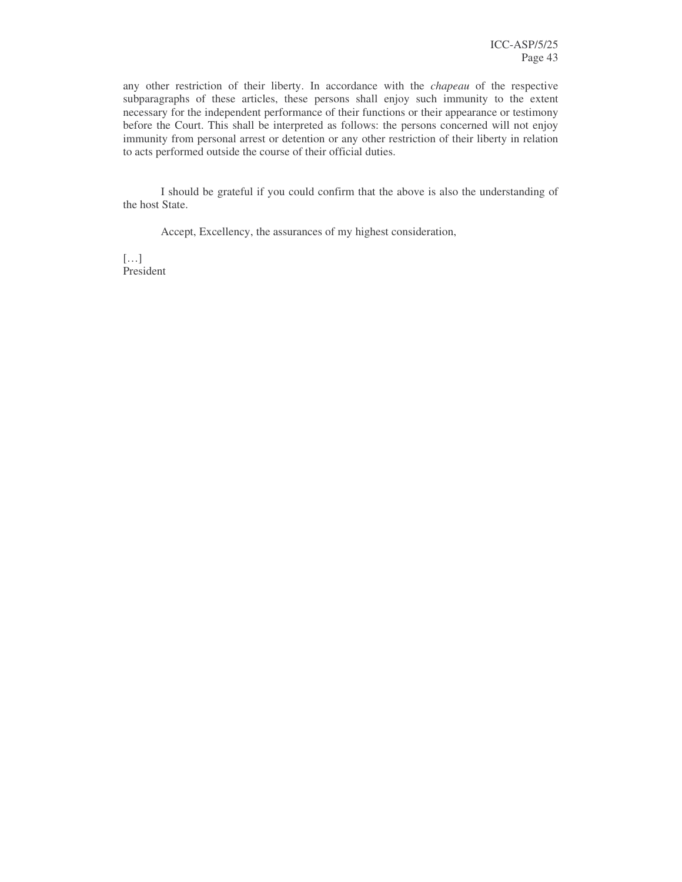any other restriction of their liberty. In accordance with the *chapeau* of the respective subparagraphs of these articles, these persons shall enjoy such immunity to the extent necessary for the independent performance of their functions or their appearance or testimony before the Court. This shall be interpreted as follows: the persons concerned will not enjoy immunity from personal arrest or detention or any other restriction of their liberty in relation to acts performed outside the course of their official duties.

I should be grateful if you could confirm that the above is also the understanding of the host State.

Accept, Excellency, the assurances of my highest consideration,

 $[\dots]$ President